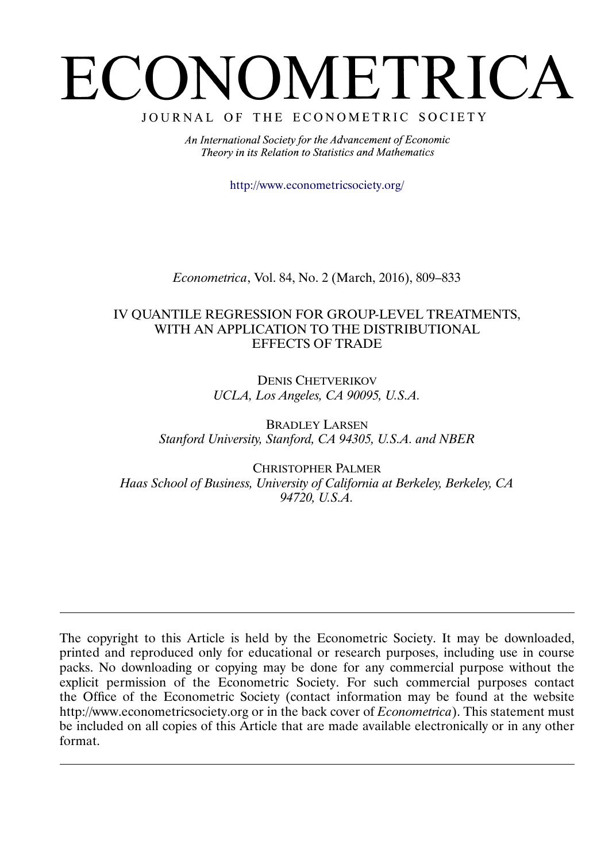# <span id="page-0-0"></span>ECONOMETRICA

## JOURNAL OF THE ECONOMETRIC SOCIETY

An International Society for the Advancement of Economic Theory in its Relation to Statistics and Mathematics

<http://www.econometricsociety.org/>

*Econometrica*, Vol. 84, No. 2 (March, 2016), 809–833

# IV QUANTILE REGRESSION FOR GROUP-LEVEL TREATMENTS, WITH AN APPLICATION TO THE DISTRIBUTIONAL EFFECTS OF TRADE

DENIS CHETVERIKOV *UCLA, Los Angeles, CA 90095, U.S.A.*

BRADLEY LARSEN *Stanford University, Stanford, CA 94305, U.S.A. and NBER*

CHRISTOPHER PALMER *Haas School of Business, University of California at Berkeley, Berkeley, CA 94720, U.S.A.*

The copyright to this Article is held by the Econometric Society. It may be downloaded, printed and reproduced only for educational or research purposes, including use in course packs. No downloading or copying may be done for any commercial purpose without the explicit permission of the Econometric Society. For such commercial purposes contact the Office of the Econometric Society (contact information may be found at the website http://www.econometricsociety.org or in the back cover of *Econometrica*). This statement must be included on all copies of this Article that are made available electronically or in any other format.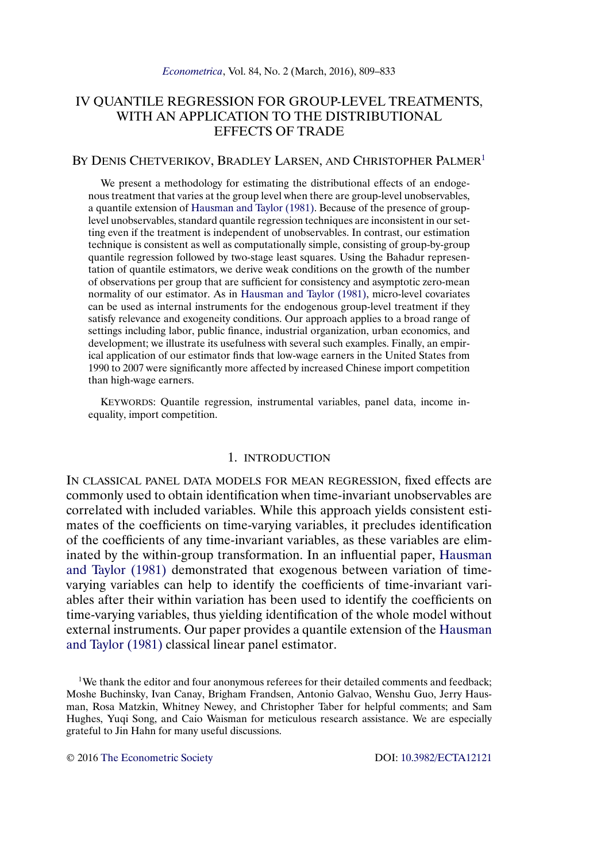## <span id="page-1-0"></span>IV QUANTILE REGRESSION FOR GROUP-LEVEL TREATMENTS, WITH AN APPLICATION TO THE DISTRIBUTIONAL EFFECTS OF TRADE

#### BY DENIS CHETVERIKOV, BRADLEY LARSEN, AND CHRISTOPHER PALMER<sup>1</sup>

We present a methodology for estimating the distributional effects of an endogenous treatment that varies at the group level when there are group-level unobservables, a quantile extension of [Hausman and Taylor \(1981\).](#page-24-0) Because of the presence of grouplevel unobservables, standard quantile regression techniques are inconsistent in our setting even if the treatment is independent of unobservables. In contrast, our estimation technique is consistent as well as computationally simple, consisting of group-by-group quantile regression followed by two-stage least squares. Using the Bahadur representation of quantile estimators, we derive weak conditions on the growth of the number of observations per group that are sufficient for consistency and asymptotic zero-mean normality of our estimator. As in [Hausman and Taylor \(1981\),](#page-24-0) micro-level covariates can be used as internal instruments for the endogenous group-level treatment if they satisfy relevance and exogeneity conditions. Our approach applies to a broad range of settings including labor, public finance, industrial organization, urban economics, and development; we illustrate its usefulness with several such examples. Finally, an empirical application of our estimator finds that low-wage earners in the United States from 1990 to 2007 were significantly more affected by increased Chinese import competition than high-wage earners.

KEYWORDS: Quantile regression, instrumental variables, panel data, income inequality, import competition.

#### 1. INTRODUCTION

IN CLASSICAL PANEL DATA MODELS FOR MEAN REGRESSION, fixed effects are commonly used to obtain identification when time-invariant unobservables are correlated with included variables. While this approach yields consistent estimates of the coefficients on time-varying variables, it precludes identification of the coefficients of any time-invariant variables, as these variables are eliminated by the within-group transformation. In an influential paper, [Hausman](#page-24-0) [and Taylor \(1981\)](#page-24-0) demonstrated that exogenous between variation of timevarying variables can help to identify the coefficients of time-invariant variables after their within variation has been used to identify the coefficients on time-varying variables, thus yielding identification of the whole model without external instruments. Our paper provides a quantile extension of the [Hausman](#page-24-0) [and Taylor \(1981\)](#page-24-0) classical linear panel estimator.

<sup>1</sup>We thank the editor and four anonymous referees for their detailed comments and feedback; Moshe Buchinsky, Ivan Canay, Brigham Frandsen, Antonio Galvao, Wenshu Guo, Jerry Hausman, Rosa Matzkin, Whitney Newey, and Christopher Taber for helpful comments; and Sam Hughes, Yuqi Song, and Caio Waisman for meticulous research assistance. We are especially grateful to Jin Hahn for many useful discussions.

© 2016 [The Econometric Society](http://www.econometricsociety.org/) DOI: [10.3982/ECTA12121](http://dx.doi.org/10.3982/ECTA12121)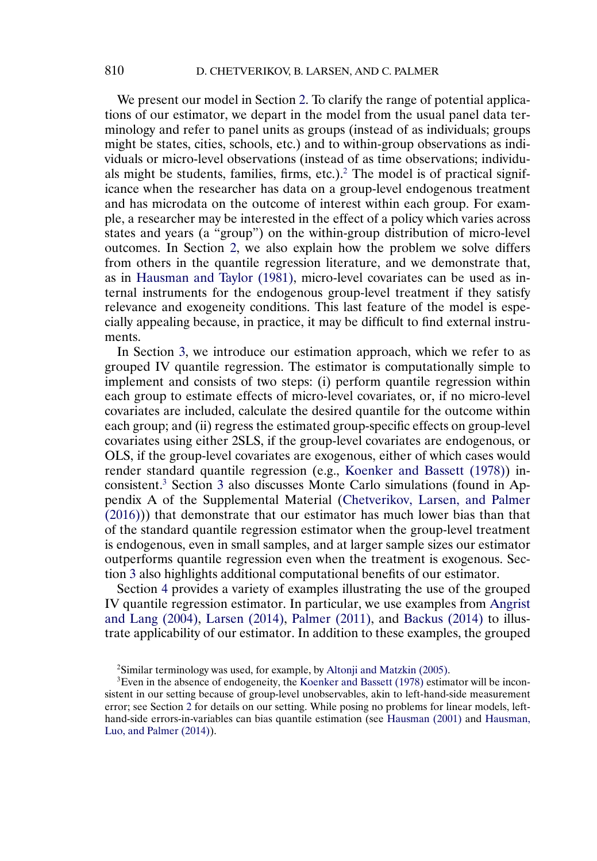<span id="page-2-0"></span>We present our model in Section [2.](#page-4-0) To clarify the range of potential applications of our estimator, we depart in the model from the usual panel data terminology and refer to panel units as groups (instead of as individuals; groups might be states, cities, schools, etc.) and to within-group observations as individuals or micro-level observations (instead of as time observations; individuals might be students, families, firms, etc.).<sup>2</sup> The model is of practical significance when the researcher has data on a group-level endogenous treatment and has microdata on the outcome of interest within each group. For example, a researcher may be interested in the effect of a policy which varies across states and years (a "group") on the within-group distribution of micro-level outcomes. In Section [2,](#page-4-0) we also explain how the problem we solve differs from others in the quantile regression literature, and we demonstrate that, as in [Hausman and Taylor \(1981\),](#page-24-0) micro-level covariates can be used as internal instruments for the endogenous group-level treatment if they satisfy relevance and exogeneity conditions. This last feature of the model is especially appealing because, in practice, it may be difficult to find external instruments.

In Section [3,](#page-8-0) we introduce our estimation approach, which we refer to as grouped IV quantile regression. The estimator is computationally simple to implement and consists of two steps: (i) perform quantile regression within each group to estimate effects of micro-level covariates, or, if no micro-level covariates are included, calculate the desired quantile for the outcome within each group; and (ii) regress the estimated group-specific effects on group-level covariates using either 2SLS, if the group-level covariates are endogenous, or OLS, if the group-level covariates are exogenous, either of which cases would render standard quantile regression (e.g., [Koenker and Bassett \(1978\)\)](#page-24-0) inconsistent.3 Section [3](#page-8-0) also discusses Monte Carlo simulations (found in Appendix A of the Supplemental Material [\(Chetverikov, Larsen, and Palmer](#page-23-0) [\(2016\)\)](#page-23-0)) that demonstrate that our estimator has much lower bias than that of the standard quantile regression estimator when the group-level treatment is endogenous, even in small samples, and at larger sample sizes our estimator outperforms quantile regression even when the treatment is exogenous. Section [3](#page-8-0) also highlights additional computational benefits of our estimator.

Section [4](#page-10-0) provides a variety of examples illustrating the use of the grouped IV quantile regression estimator. In particular, we use examples from [Angrist](#page-23-0) [and Lang \(2004\),](#page-23-0) [Larsen \(2014\),](#page-24-0) [Palmer \(2011\),](#page-24-0) and [Backus \(2014\)](#page-23-0) to illustrate applicability of our estimator. In addition to these examples, the grouped

<sup>2</sup>Similar terminology was used, for example, by [Altonji and Matzkin \(2005\).](#page-23-0)

<sup>&</sup>lt;sup>3</sup>Even in the absence of endogeneity, the [Koenker and Bassett \(1978\)](#page-24-0) estimator will be inconsistent in our setting because of group-level unobservables, akin to left-hand-side measurement error; see Section [2](#page-4-0) for details on our setting. While posing no problems for linear models, lefthand-side errors-in-variables can bias quantile estimation (see [Hausman \(2001\)](#page-24-0) and [Hausman,](#page-24-0) [Luo, and Palmer \(2014\)\)](#page-24-0).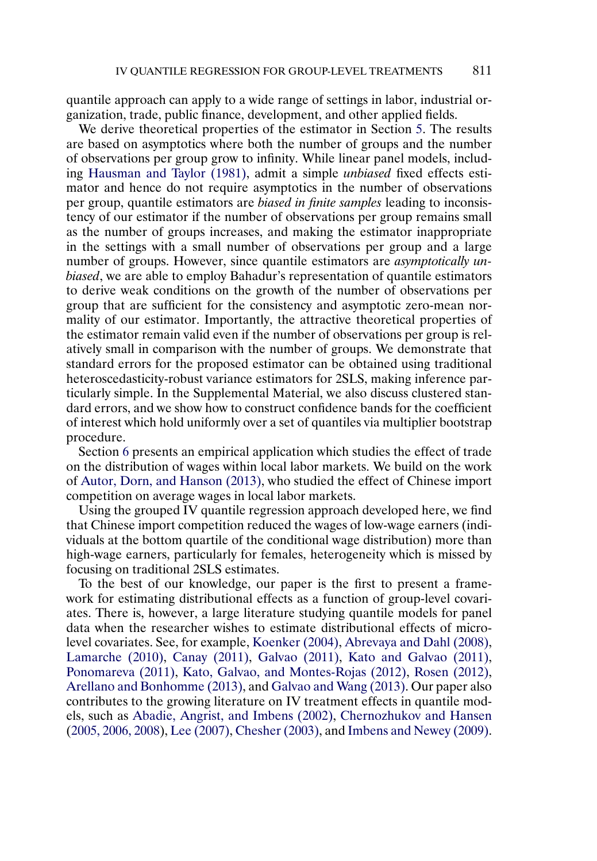quantile approach can apply to a wide range of settings in labor, industrial organization, trade, public finance, development, and other applied fields.

We derive theoretical properties of the estimator in Section [5.](#page-13-0) The results are based on asymptotics where both the number of groups and the number of observations per group grow to infinity. While linear panel models, including [Hausman and Taylor \(1981\),](#page-24-0) admit a simple *unbiased* fixed effects estimator and hence do not require asymptotics in the number of observations per group, quantile estimators are *biased in finite samples* leading to inconsistency of our estimator if the number of observations per group remains small as the number of groups increases, and making the estimator inappropriate in the settings with a small number of observations per group and a large number of groups. However, since quantile estimators are *asymptotically unbiased*, we are able to employ Bahadur's representation of quantile estimators to derive weak conditions on the growth of the number of observations per group that are sufficient for the consistency and asymptotic zero-mean normality of our estimator. Importantly, the attractive theoretical properties of the estimator remain valid even if the number of observations per group is relatively small in comparison with the number of groups. We demonstrate that standard errors for the proposed estimator can be obtained using traditional heteroscedasticity-robust variance estimators for 2SLS, making inference particularly simple. In the Supplemental Material, we also discuss clustered standard errors, and we show how to construct confidence bands for the coefficient of interest which hold uniformly over a set of quantiles via multiplier bootstrap procedure.

Section [6](#page-18-0) presents an empirical application which studies the effect of trade on the distribution of wages within local labor markets. We build on the work of [Autor, Dorn, and Hanson \(2013\),](#page-23-0) who studied the effect of Chinese import competition on average wages in local labor markets.

Using the grouped IV quantile regression approach developed here, we find that Chinese import competition reduced the wages of low-wage earners (individuals at the bottom quartile of the conditional wage distribution) more than high-wage earners, particularly for females, heterogeneity which is missed by focusing on traditional 2SLS estimates.

To the best of our knowledge, our paper is the first to present a framework for estimating distributional effects as a function of group-level covariates. There is, however, a large literature studying quantile models for panel data when the researcher wishes to estimate distributional effects of microlevel covariates. See, for example, [Koenker \(2004\),](#page-24-0) [Abrevaya and Dahl \(2008\),](#page-23-0) [Lamarche \(2010\),](#page-24-0) [Canay \(2011\),](#page-23-0) [Galvao \(2011\),](#page-24-0) [Kato and Galvao \(2011\),](#page-24-0) [Ponomareva \(2011\),](#page-24-0) [Kato, Galvao, and Montes-Rojas \(2012\),](#page-24-0) [Rosen \(2012\),](#page-24-0) [Arellano and Bonhomme \(2013\),](#page-23-0) and [Galvao and Wang \(2013\).](#page-24-0) Our paper also contributes to the growing literature on IV treatment effects in quantile models, such as [Abadie, Angrist, and Imbens \(2002\),](#page-23-0) [Chernozhukov and Hansen](#page-23-0) [\(2005, 2006, 2008\)](#page-23-0), [Lee \(2007\),](#page-24-0) [Chesher \(2003\),](#page-23-0) and [Imbens and Newey \(2009\).](#page-24-0)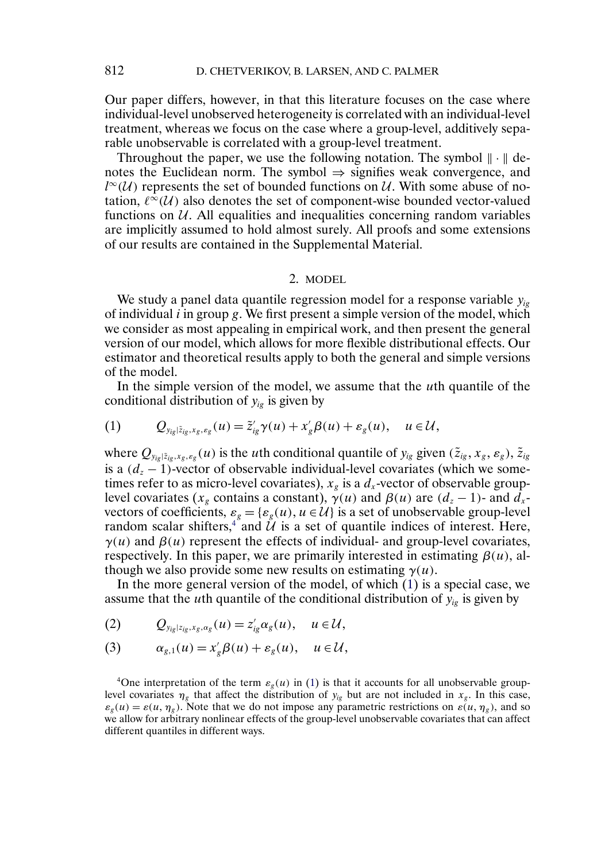Our paper differs, however, in that this literature focuses on the case where individual-level unobserved heterogeneity is correlated with an individual-level treatment, whereas we focus on the case where a group-level, additively separable unobservable is correlated with a group-level treatment.

Throughout the paper, we use the following notation. The symbol  $\|\cdot\|$  denotes the Euclidean norm. The symbol  $\Rightarrow$  signifies weak convergence, and  $l^{\infty}(\mathcal{U})$  represents the set of bounded functions on  $\mathcal{U}$ . With some abuse of notation,  $\ell^{\infty}(\mathcal{U})$  also denotes the set of component-wise bounded vector-valued functions on  $U$ . All equalities and inequalities concerning random variables are implicitly assumed to hold almost surely. All proofs and some extensions of our results are contained in the Supplemental Material.

## 2. MODEL

We study a panel data quantile regression model for a response variable  $y_{ig}$ of individual  $i$  in group g. We first present a simple version of the model, which we consider as most appealing in empirical work, and then present the general version of our model, which allows for more flexible distributional effects. Our estimator and theoretical results apply to both the general and simple versions of the model.

In the simple version of the model, we assume that the  $u$ th quantile of the conditional distribution of  $y_{ig}$  is given by

$$
(1) \qquad Q_{y_{ig}|\tilde{z}_{ig},x_{g},\varepsilon_{g}}(u)=\tilde{z}_{ig}'\gamma(u)+x_{g}'\beta(u)+\varepsilon_{g}(u),\quad u\in\mathcal{U},
$$

where  $Q_{y_{ig}|\tilde{z}_{ig},x_g,s_g}(u)$  is the *u*th conditional quantile of  $y_{ig}$  given  $(\tilde{z}_{ig},x_g,\varepsilon_g)$ ,  $\tilde{z}_{ig}$ is a  $(d_z - 1)$ -vector of observable individual-level covariates (which we sometimes refer to as micro-level covariates),  $x_g$  is a  $d_x$ -vector of observable grouplevel covariates ( $x_g$  contains a constant),  $\gamma(u)$  and  $\beta(u)$  are  $(d_z - 1)$ - and  $d_x$ vectors of coefficients,  $\varepsilon_g = \{\varepsilon_g(u), u \in \mathcal{U}\}\)$  is a set of unobservable group-level random scalar shifters,<sup>4</sup> and  $\tilde{U}$  is a set of quantile indices of interest. Here,  $\gamma(u)$  and  $\beta(u)$  represent the effects of individual- and group-level covariates, respectively. In this paper, we are primarily interested in estimating  $\beta(u)$ , although we also provide some new results on estimating  $\gamma(u)$ .

In the more general version of the model, of which (1) is a special case, we assume that the *u*th quantile of the conditional distribution of  $y_{ig}$  is given by

$$
(2) \tQ_{y_{ig}|z_{ig},x_{g},\alpha_{g}}(u)=z'_{ig}\alpha_{g}(u), \quad u\in\mathcal{U},
$$

(3) 
$$
\alpha_{g,1}(u) = x'_g \beta(u) + \varepsilon_g(u), \quad u \in \mathcal{U},
$$

<sup>4</sup>One interpretation of the term  $\varepsilon_g(u)$  in (1) is that it accounts for all unobservable grouplevel covariates  $\eta_g$  that affect the distribution of  $y_{ig}$  but are not included in  $x_g$ . In this case,  $\varepsilon_g(u) = \varepsilon(u, \eta_g)$ . Note that we do not impose any parametric restrictions on  $\varepsilon(u, \eta_g)$ , and so we allow for arbitrary nonlinear effects of the group-level unobservable covariates that can affect different quantiles in different ways.

<span id="page-4-0"></span>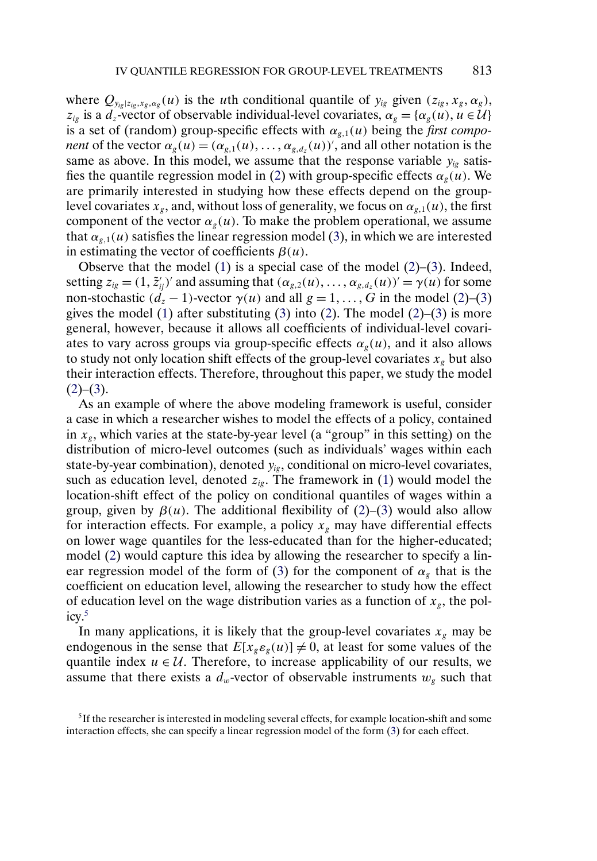<span id="page-5-0"></span>where  $Q_{y_{ig}|z_{ig},x_{g},\alpha_{g}}(u)$  is the *u*th conditional quantile of  $y_{ig}$  given  $(z_{ig}, x_{g}, \alpha_{g}),$  $z_{ig}$  is a  $d_z$ -vector of observable individual-level covariates,  $\alpha_g = {\alpha_g(u), u \in \mathcal{U}}$ is a set of (random) group-specific effects with  $\alpha_{g,1}(u)$  being the *first component* of the vector  $\alpha_g(u) = (\alpha_{g,1}(u), \dots, \alpha_{g,d_z}(u))'$ , and all other notation is the same as above. In this model, we assume that the response variable  $y_{ig}$  satis-fies the quantile regression model in [\(2\)](#page-4-0) with group-specific effects  $\alpha_{\varrho}(u)$ . We are primarily interested in studying how these effects depend on the grouplevel covariates  $x_g$ , and, without loss of generality, we focus on  $\alpha_{g,1}(u)$ , the first component of the vector  $\alpha_g(u)$ . To make the problem operational, we assume that  $\alpha_{g,1}(u)$  satisfies the linear regression model [\(3\)](#page-4-0), in which we are interested in estimating the vector of coefficients  $\beta(u)$ .

Observe that the model  $(1)$  is a special case of the model  $(2)$ – $(3)$ . Indeed, setting  $z_{ig} = (1, \tilde{z}_{ij}')'$  and assuming that  $(\alpha_{g,2}(u), \dots, \alpha_{g,d_z}(u))' = \gamma(u)$  for some non-stochastic  $(d_z - 1)$ -vector  $\gamma(u)$  and all  $g = 1, \ldots, G$  in the model [\(2\)](#page-4-0)–[\(3\)](#page-4-0) gives the model [\(1\)](#page-4-0) after substituting [\(3\)](#page-4-0) into [\(2\)](#page-4-0). The model (2)–(3) is more general, however, because it allows all coefficients of individual-level covariates to vary across groups via group-specific effects  $\alpha_g(u)$ , and it also allows to study not only location shift effects of the group-level covariates  $x_g$  but also their interaction effects. Therefore, throughout this paper, we study the model  $(2)–(3)$  $(2)–(3)$  $(2)–(3)$ .

As an example of where the above modeling framework is useful, consider a case in which a researcher wishes to model the effects of a policy, contained in  $x_g$ , which varies at the state-by-year level (a "group" in this setting) on the distribution of micro-level outcomes (such as individuals' wages within each state-by-year combination), denoted  $y_{ig}$ , conditional on micro-level covariates, such as education level, denoted  $z_{ig}$ . The framework in [\(1\)](#page-4-0) would model the location-shift effect of the policy on conditional quantiles of wages within a group, given by  $\beta(u)$ . The additional flexibility of [\(2\)](#page-4-0)–[\(3\)](#page-4-0) would also allow for interaction effects. For example, a policy  $x_{g}$  may have differential effects on lower wage quantiles for the less-educated than for the higher-educated; model [\(2\)](#page-4-0) would capture this idea by allowing the researcher to specify a lin-ear regression model of the form of [\(3\)](#page-4-0) for the component of  $\alpha_{\varrho}$  that is the coefficient on education level, allowing the researcher to study how the effect of education level on the wage distribution varies as a function of  $x<sub>g</sub>$ , the pol $icy.<sup>5</sup>$ 

In many applications, it is likely that the group-level covariates  $x_g$  may be endogenous in the sense that  $E[x_g \varepsilon_g(u)] \neq 0$ , at least for some values of the quantile index  $u \in U$ . Therefore, to increase applicability of our results, we assume that there exists a  $d_w$ -vector of observable instruments  $w_g$  such that

5If the researcher is interested in modeling several effects, for example location-shift and some interaction effects, she can specify a linear regression model of the form [\(3\)](#page-4-0) for each effect.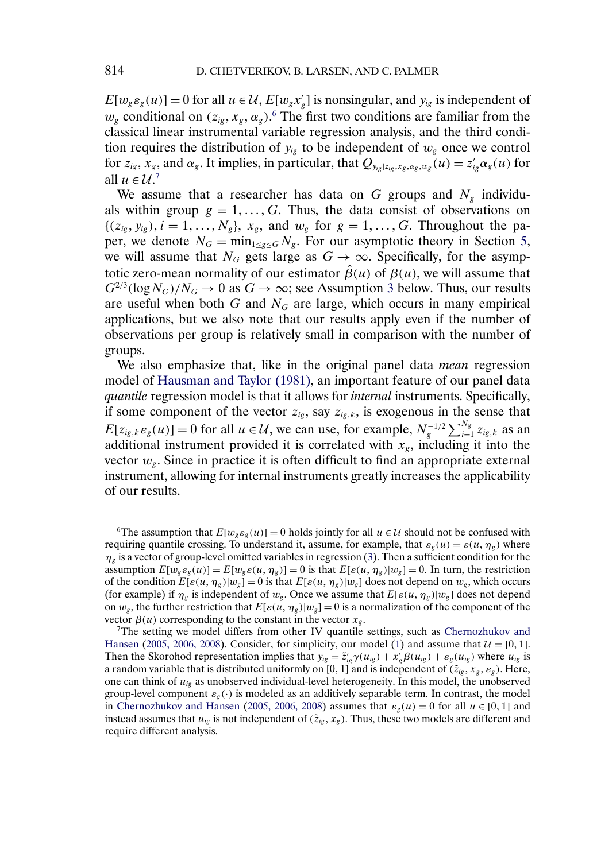<span id="page-6-0"></span> $E[w_g \varepsilon_g(u)] = 0$  for all  $u \in \mathcal{U}$ ,  $E[w_g x'_g]$  is nonsingular, and  $y_{ig}$  is independent of  $w_g$  conditional on  $(z_{ig}, x_g, \alpha_g)$ .<sup>6</sup> The first two conditions are familiar from the classical linear instrumental variable regression analysis, and the third condition requires the distribution of  $y_{ig}$  to be independent of  $w_g$  once we control for  $z_{ig}$ ,  $x_g$ , and  $\alpha_g$ . It implies, in particular, that  $Q_{y_{ig}|z_{ig},x_g,\alpha_g,w_g}(u) = z'_{ig}\alpha_g(u)$  for all *u* ∈  $U$ .<sup>7</sup>

We assume that a researcher has data on G groups and  $N_g$  individuals within group  $g = 1, \ldots, G$ . Thus, the data consist of observations on  $\{(z_{ig}, y_{ig}), i = 1, \ldots, N_g\}, x_g$ , and  $w_g$  for  $g = 1, \ldots, G$ . Throughout the paper, we denote  $N_G = \min_{1 \leq g \leq G} N_g$ . For our asymptotic theory in Section [5,](#page-13-0) we will assume that  $N_G$  gets large as  $G \rightarrow \infty$ . Specifically, for the asymptotic zero-mean normality of our estimator  $\hat{\beta}(u)$  of  $\beta(u)$ , we will assume that  $G^{2/3}(\log N_G)/N_G \to 0$  $G^{2/3}(\log N_G)/N_G \to 0$  $G^{2/3}(\log N_G)/N_G \to 0$  as  $G \to \infty$ ; see Assumption 3 below. Thus, our results are useful when both G and  $N<sub>G</sub>$  are large, which occurs in many empirical applications, but we also note that our results apply even if the number of observations per group is relatively small in comparison with the number of groups.

We also emphasize that, like in the original panel data *mean* regression model of [Hausman and Taylor \(1981\),](#page-24-0) an important feature of our panel data *quantile* regression model is that it allows for *internal* instruments. Specifically, if some component of the vector  $z_{ig}$ , say  $z_{ig,k}$ , is exogenous in the sense that  $E[z_{ig,k} \varepsilon_g(u)] = 0$  for all  $u \in \mathcal{U}$ , we can use, for example,  $N_g^{-1/2} \sum_{i=1}^{N_g} z_{ig,k}$  as an additional instrument provided it is correlated with  $x_g$ , including it into the vector  $w_{\sigma}$ . Since in practice it is often difficult to find an appropriate external instrument, allowing for internal instruments greatly increases the applicability of our results.

<sup>6</sup>The assumption that  $E[w_g \varepsilon_g(u)] = 0$  holds jointly for all  $u \in \mathcal{U}$  should not be confused with requiring quantile crossing. To understand it, assume, for example, that  $\varepsilon_g(u) = \varepsilon(u, \eta_g)$  where  $\eta_g$  is a vector of group-level omitted variables in regression [\(3\)](#page-4-0). Then a sufficient condition for the assumption  $E[w_g \varepsilon_g(u)] = E[w_g \varepsilon(u, \eta_g)] = 0$  is that  $E[\varepsilon(u, \eta_g)|w_g] = 0$ . In turn, the restriction of the condition  $E[\varepsilon(u, \eta_g)|w_g] = 0$  is that  $E[\varepsilon(u, \eta_g)|w_g]$  does not depend on  $w_g$ , which occurs (for example) if  $\eta_g$  is independent of  $w_g$ . Once we assume that  $E[\varepsilon(u, \eta_g)|w_g]$  does not depend on  $w_g$ , the further restriction that  $E[\varepsilon(u, \eta_g)|w_g] = 0$  is a normalization of the component of the vector  $\beta(u)$  corresponding to the constant in the vector  $x_g$ .

<sup>7</sup>The setting we model differs from other IV quantile settings, such as [Chernozhukov and](#page-23-0) [Hansen](#page-23-0) [\(2005, 2006, 2008\)](#page-23-0). Consider, for simplicity, our model [\(1\)](#page-4-0) and assume that  $U = [0, 1]$ . Then the Skorohod representation implies that  $y_{ig} = \tilde{z}_{ig}' \gamma(u_{ig}) + x'_{g} \beta(u_{ig}) + \varepsilon_{g}(u_{ig})$  where  $u_{ig}$  is a random variable that is distributed uniformly on [0, 1] and is independent of  $(\tilde{z}_{i}$ ,  $x_g$ ,  $\varepsilon_g$ ). Here, one can think of  $u_{ig}$  as unobserved individual-level heterogeneity. In this model, the unobserved group-level component  $\varepsilon_g(\cdot)$  is modeled as an additively separable term. In contrast, the model in [Chernozhukov and Hansen](#page-23-0) [\(2005, 2006, 2008\)](#page-23-0) assumes that  $\varepsilon_g(u) = 0$  for all  $u \in [0, 1]$  and instead assumes that  $u_{ie}$  is not independent of ( $\tilde{z}_{ie}$ ,  $x_g$ ). Thus, these two models are different and require different analysis.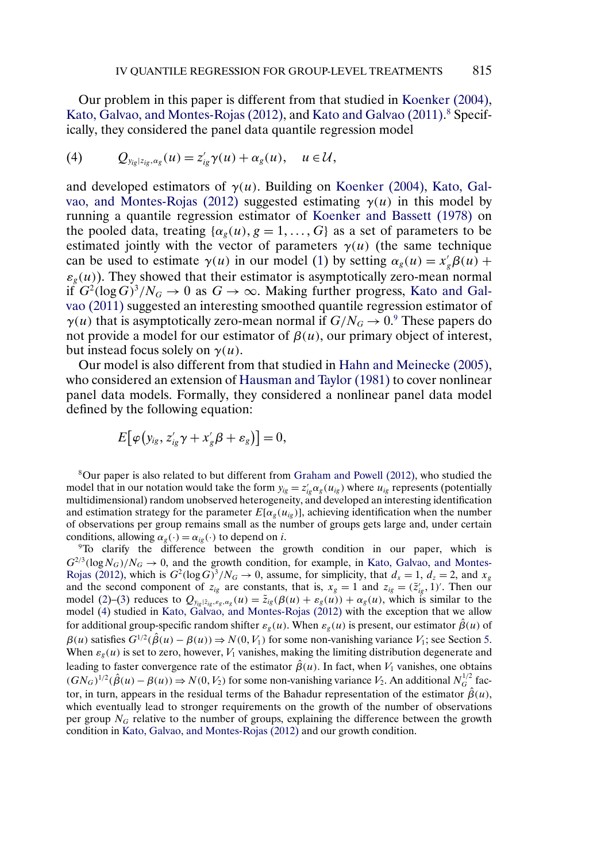<span id="page-7-0"></span>Our problem in this paper is different from that studied in [Koenker \(2004\),](#page-24-0) [Kato, Galvao, and Montes-Rojas \(2012\),](#page-24-0) and [Kato and Galvao \(2011\).](#page-24-0) [8](#page-24-0) Specifically, they considered the panel data quantile regression model

$$
(4) \tQ_{y_{ig}|z_{ig},\alpha_{g}}(u)=z'_{ig}\gamma(u)+\alpha_{g}(u),\quad u\in\mathcal{U},
$$

and developed estimators of  $\gamma(u)$ . Building on [Koenker \(2004\),](#page-24-0) [Kato, Gal](#page-24-0)[vao, and Montes-Rojas \(2012\)](#page-24-0) suggested estimating  $\gamma(u)$  in this model by running a quantile regression estimator of [Koenker and Bassett \(1978\)](#page-24-0) on the pooled data, treating  $\{\alpha_g(u), g = 1, \ldots, G\}$  as a set of parameters to be estimated jointly with the vector of parameters  $\gamma(u)$  (the same technique can be used to estimate  $\gamma(u)$  in our model [\(1\)](#page-4-0) by setting  $\alpha_g(u) = x'_g \beta(u) +$  $\varepsilon<sub>g</sub>(u)$ ). They showed that their estimator is asymptotically zero-mean normal if  $G^2(\log G)^3/N_G \to 0$  as  $G \to \infty$ . Making further progress, [Kato and Gal](#page-24-0)[vao \(2011\)](#page-24-0) suggested an interesting smoothed quantile regression estimator of  $\gamma(u)$  that is asymptotically zero-mean normal if  $G/N_G \rightarrow 0.9$  These papers do not provide a model for our estimator of  $\beta(u)$ , our primary object of interest, but instead focus solely on  $\gamma(u)$ .

Our model is also different from that studied in [Hahn and Meinecke \(2005\),](#page-24-0) who considered an extension of [Hausman and Taylor \(1981\)](#page-24-0) to cover nonlinear panel data models. Formally, they considered a nonlinear panel data model defined by the following equation:

$$
E[\varphi(y_{ig}, z'_{ig}\gamma + x'_{g}\beta + \varepsilon_{g})] = 0,
$$

 $8$ Our paper is also related to but different from [Graham and Powell \(2012\),](#page-24-0) who studied the model that in our notation would take the form  $y_{ig} = z'_{ig} \alpha_g(u_{ig})$  where  $u_{ig}$  represents (potentially multidimensional) random unobserved heterogeneity, and developed an interesting identification and estimation strategy for the parameter  $E[\alpha_g(u_{ig})]$ , achieving identification when the number of observations per group remains small as the number of groups gets large and, under certain conditions, allowing  $\alpha_g(\cdot) = \alpha_{ig}(\cdot)$  to depend on *i*.

<sup>9</sup>To clarify the difference between the growth condition in our paper, which is  $G^{2/3}(\log N_G)/N_G \rightarrow 0$ , and the growth condition, for example, in [Kato, Galvao, and Montes-](#page-24-0)[Rojas \(2012\),](#page-24-0) which is  $G^2(\log G)^3/N_G \to 0$ , assume, for simplicity, that  $d_x = 1$ ,  $d_z = 2$ , and  $x_g$ and the second component of  $z_{ig}$  are constants, that is,  $x_g = 1$  and  $z_{ig} = (\tilde{z}'_{ig}, 1)'$ . Then our model [\(2\)](#page-4-0)–[\(3\)](#page-4-0) reduces to  $Q_{y_{ig}|\bar{z}_{ig},g_{g},\alpha_{g}}(u) = \tilde{z}_{ig}(\beta(u) + \varepsilon_{g}(u)) + \alpha_{g}(u)$ , which is similar to the model (4) studied in [Kato, Galvao, and Montes-Rojas \(2012\)](#page-24-0) with the exception that we allow for additional group-specific random shifter  $\varepsilon_g(u)$ . When  $\varepsilon_g(u)$  is present, our estimator  $\hat{\beta}(u)$  of  $\beta(u)$  satisfies  $G^{1/2}(\hat{\beta}(u) - \beta(u)) \Rightarrow N(0, V_1)$  for some non-vanishing variance  $V_1$ ; see Section [5.](#page-13-0) When  $\varepsilon_g(u)$  is set to zero, however,  $V_1$  vanishes, making the limiting distribution degenerate and leading to faster convergence rate of the estimator  $\hat{\beta}(u)$ . In fact, when  $V_1$  vanishes, one obtains  $(GN_G)^{1/2}(\hat{\beta}(u) - \beta(u)) \Rightarrow N(0, V_2)$  for some non-vanishing variance  $V_2$ . An additional  $N_G^{1/2}$  factor, in turn, appears in the residual terms of the Bahadur representation of the estimator  $\hat{\beta}(u)$ , which eventually lead to stronger requirements on the growth of the number of observations per group  $N_G$  relative to the number of groups, explaining the difference between the growth condition in [Kato, Galvao, and Montes-Rojas \(2012\)](#page-24-0) and our growth condition.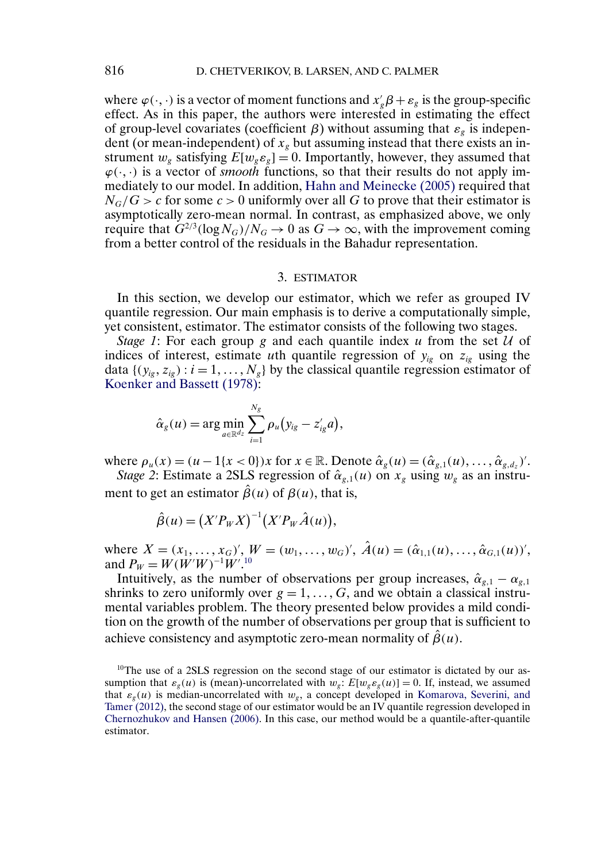<span id="page-8-0"></span>where  $\varphi(\cdot, \cdot)$  is a vector of moment functions and  $x_g' \beta + \varepsilon_g$  is the group-specific effect. As in this paper, the authors were interested in estimating the effect of group-level covariates (coefficient  $\beta$ ) without assuming that  $\varepsilon_{\gamma}$  is independent (or mean-independent) of  $x_g$  but assuming instead that there exists an instrument  $w_g$  satisfying  $E[w_g \varepsilon_g] = 0$ . Importantly, however, they assumed that  $\varphi(\cdot,\cdot)$  is a vector of *smooth* functions, so that their results do not apply immediately to our model. In addition, [Hahn and Meinecke \(2005\)](#page-24-0) required that  $N_G/G > c$  for some  $c > 0$  uniformly over all G to prove that their estimator is asymptotically zero-mean normal. In contrast, as emphasized above, we only require that  $G^{2/3}(\log N_G)/N_G \to 0$  as  $G \to \infty$ , with the improvement coming from a better control of the residuals in the Bahadur representation.

#### 3. ESTIMATOR

In this section, we develop our estimator, which we refer as grouped IV quantile regression. Our main emphasis is to derive a computationally simple, yet consistent, estimator. The estimator consists of the following two stages.

*Stage 1*: For each group g and each quantile index  $u$  from the set  $U$  of indices of interest, estimate *uth* quantile regression of  $y_{ig}$  on  $z_{ig}$  using the data  $\{(y_{ig}, z_{ig}) : i = 1, \ldots, N_g\}$  by the classical quantile regression estimator of [Koenker and Bassett \(1978\):](#page-24-0)

$$
\hat{\alpha}_g(u) = \arg\min_{a \in \mathbb{R}^{d_Z}} \sum_{i=1}^{N_g} \rho_u(y_{ig} - z'_{ig}a),
$$

where  $\rho_u(x) = (u - 1\{x < 0\})x$  for  $x \in \mathbb{R}$ . Denote  $\hat{\alpha}_g(u) = (\hat{\alpha}_{g,1}(u), \dots, \hat{\alpha}_{g,d_z})'$ .

*Stage 2*: Estimate a 2SLS regression of  $\hat{\alpha}_{g,1}(u)$  on  $x_g$  using  $w_g$  as an instrument to get an estimator  $\hat{\beta}(u)$  of  $\beta(u)$ , that is,

$$
\hat{\beta}(u) = (X'P_WX)^{-1}(X'P_W\hat{A}(u)),
$$

where  $X = (x_1, \ldots, x_G)'$ ,  $W = (w_1, \ldots, w_G)'$ ,  $\hat{A}(u) = (\hat{\alpha}_{1,1}(u), \ldots, \hat{\alpha}_{G,1}(u))'$ , and  $P_W = W(W/W)^{-1}W'.^{10}$ 

Intuitively, as the number of observations per group increases,  $\hat{\alpha}_{g,1} - \alpha_{g,1}$ shrinks to zero uniformly over  $g = 1, \ldots, G$ , and we obtain a classical instrumental variables problem. The theory presented below provides a mild condition on the growth of the number of observations per group that is sufficient to achieve consistency and asymptotic zero-mean normality of  $\hat{\beta}(u)$ .

<sup>&</sup>lt;sup>10</sup>The use of a 2SLS regression on the second stage of our estimator is dictated by our assumption that  $\varepsilon_g(u)$  is (mean)-uncorrelated with  $w_g$ :  $E[w_g \varepsilon_g(u)] = 0$ . If, instead, we assumed that  $\varepsilon_g(u)$  is median-uncorrelated with  $w_g$ , a concept developed in [Komarova, Severini, and](#page-24-0) [Tamer \(2012\),](#page-24-0) the second stage of our estimator would be an IV quantile regression developed in [Chernozhukov and Hansen \(2006\).](#page-23-0) In this case, our method would be a quantile-after-quantile estimator.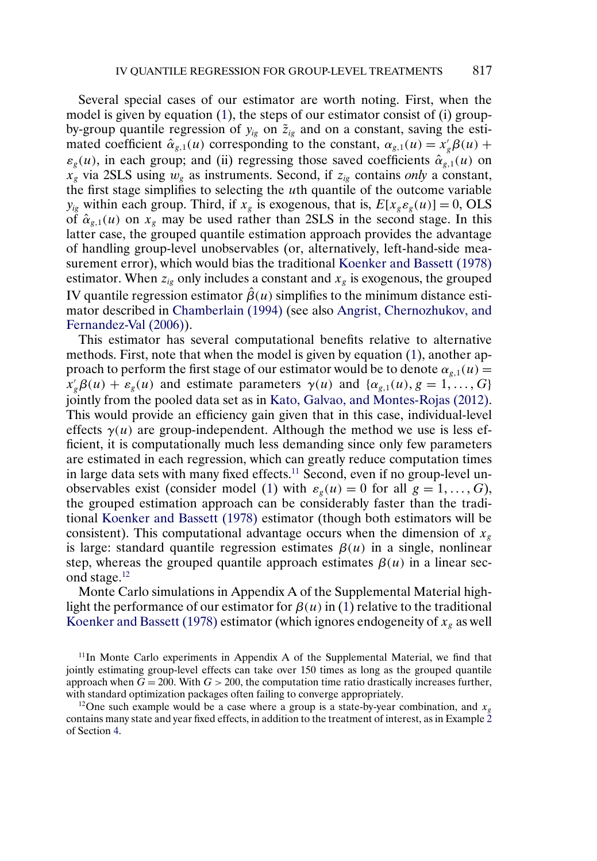<span id="page-9-0"></span>Several special cases of our estimator are worth noting. First, when the model is given by equation [\(1\)](#page-4-0), the steps of our estimator consist of (i) groupby-group quantile regression of  $y_{ig}$  on  $\tilde{z}_{ig}$  and on a constant, saving the estimated coefficient  $\hat{\alpha}_{g,1}(u)$  corresponding to the constant,  $\alpha_{g,1}(u) = x_g^{\prime} \beta(u) +$  $\varepsilon_g(u)$ , in each group; and (ii) regressing those saved coefficients  $\hat{\alpha}_{g,1}(u)$  on  $x_g$  via 2SLS using  $w_g$  as instruments. Second, if  $z_{ig}$  contains *only* a constant, the first stage simplifies to selecting the uth quantile of the outcome variable  $y_{ig}$  within each group. Third, if  $x_g$  is exogenous, that is,  $E[x_g \varepsilon_g(u)] = 0$ , OLS of  $\hat{\alpha}_{g,1}(u)$  on  $x_g$  may be used rather than 2SLS in the second stage. In this latter case, the grouped quantile estimation approach provides the advantage of handling group-level unobservables (or, alternatively, left-hand-side measurement error), which would bias the traditional [Koenker and Bassett \(1978\)](#page-24-0) estimator. When  $z_{ig}$  only includes a constant and  $x_g$  is exogenous, the grouped IV quantile regression estimator  $\hat{\beta}(u)$  simplifies to the minimum distance estimator described in [Chamberlain \(1994\)](#page-23-0) (see also [Angrist, Chernozhukov, and](#page-23-0) [Fernandez-Val \(2006\)\)](#page-23-0).

This estimator has several computational benefits relative to alternative methods. First, note that when the model is given by equation [\(1\)](#page-4-0), another approach to perform the first stage of our estimator would be to denote  $\alpha_{g,1}(u) =$  $x'_{g} \beta(u) + \varepsilon_{g}(u)$  and estimate parameters  $\gamma(u)$  and  $\{\alpha_{g,1}(u), g = 1, \ldots, G\}$ jointly from the pooled data set as in [Kato, Galvao, and Montes-Rojas \(2012\).](#page-24-0) This would provide an efficiency gain given that in this case, individual-level effects  $\gamma(u)$  are group-independent. Although the method we use is less efficient, it is computationally much less demanding since only few parameters are estimated in each regression, which can greatly reduce computation times in large data sets with many fixed effects.<sup>11</sup> Second, even if no group-level un-observables exist (consider model [\(1\)](#page-4-0) with  $\varepsilon_g(u) = 0$  for all  $g = 1, \ldots, G$ ), the grouped estimation approach can be considerably faster than the traditional [Koenker and Bassett \(1978\)](#page-24-0) estimator (though both estimators will be consistent). This computational advantage occurs when the dimension of  $x_g$ is large: standard quantile regression estimates  $\beta(u)$  in a single, nonlinear step, whereas the grouped quantile approach estimates  $\beta(u)$  in a linear second stage.12

Monte Carlo simulations in Appendix A of the Supplemental Material highlight the performance of our estimator for  $\beta(u)$  in [\(1\)](#page-4-0) relative to the traditional [Koenker and Bassett \(1978\)](#page-24-0) estimator (which ignores endogeneity of  $x_g$  as well

 $11$ In Monte Carlo experiments in Appendix A of the Supplemental Material, we find that jointly estimating group-level effects can take over 150 times as long as the grouped quantile approach when  $G = 200$ . With  $G > 200$ , the computation time ratio drastically increases further, with standard optimization packages often failing to converge appropriately.

<sup>&</sup>lt;sup>12</sup>One such example would be a case where a group is a state-by-year combination, and  $x_g$ contains many state and year fixed effects, in addition to the treatment of interest, as in Example [2](#page-11-0) of Section [4.](#page-10-0)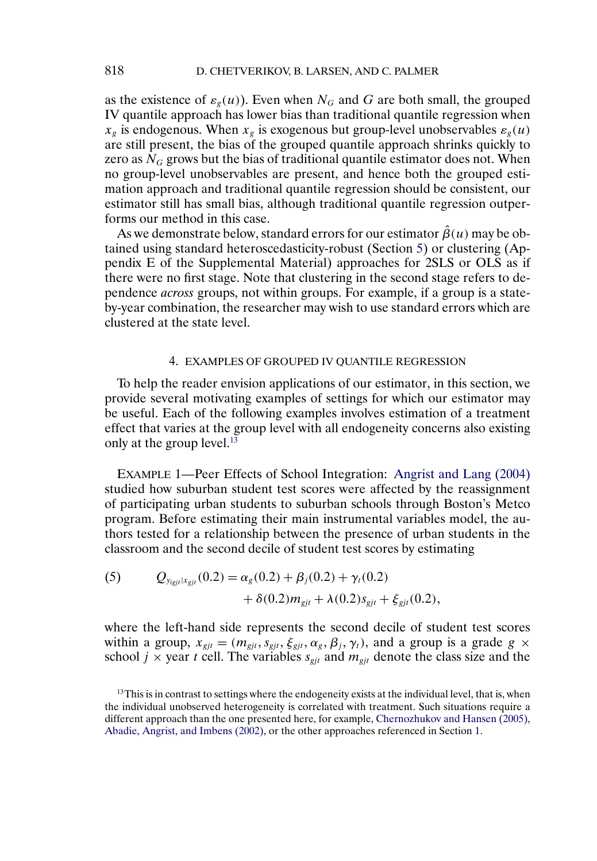as the existence of  $\varepsilon_g(u)$ ). Even when  $N_G$  and G are both small, the grouped IV quantile approach has lower bias than traditional quantile regression when  $x_g$  is endogenous. When  $x_g$  is exogenous but group-level unobservables  $\varepsilon_g(u)$ are still present, the bias of the grouped quantile approach shrinks quickly to zero as  $N_G$  grows but the bias of traditional quantile estimator does not. When no group-level unobservables are present, and hence both the grouped estimation approach and traditional quantile regression should be consistent, our estimator still has small bias, although traditional quantile regression outperforms our method in this case.

As we demonstrate below, standard errors for our estimator  $\hat{\beta}(u)$  may be obtained using standard heteroscedasticity-robust (Section [5\)](#page-13-0) or clustering (Appendix E of the Supplemental Material) approaches for 2SLS or OLS as if there were no first stage. Note that clustering in the second stage refers to dependence *across* groups, not within groups. For example, if a group is a stateby-year combination, the researcher may wish to use standard errors which are clustered at the state level.

#### 4. EXAMPLES OF GROUPED IV QUANTILE REGRESSION

To help the reader envision applications of our estimator, in this section, we provide several motivating examples of settings for which our estimator may be useful. Each of the following examples involves estimation of a treatment effect that varies at the group level with all endogeneity concerns also existing only at the group level.<sup>13</sup>

EXAMPLE 1—Peer Effects of School Integration: [Angrist and Lang \(2004\)](#page-23-0) studied how suburban student test scores were affected by the reassignment of participating urban students to suburban schools through Boston's Metco program. Before estimating their main instrumental variables model, the authors tested for a relationship between the presence of urban students in the classroom and the second decile of student test scores by estimating

(5) 
$$
Q_{y_{igj t}|x_{gj t}}(0.2) = \alpha_g(0.2) + \beta_j(0.2) + \gamma_t(0.2) + \delta(0.2)m_{gj t} + \lambda(0.2)s_{gj t} + \xi_{gj t}(0.2),
$$

where the left-hand side represents the second decile of student test scores within a group,  $x_{gjt} = (m_{gjt}, s_{gjt}, \xi_{gjt}, \alpha_g, \beta_j, \gamma_t)$ , and a group is a grade  $g \times$ school  $j \times$  year t cell. The variables  $s_{gjt}$  and  $m_{gjt}$  denote the class size and the

<span id="page-10-0"></span>

<sup>&</sup>lt;sup>13</sup>This is in contrast to settings where the endogeneity exists at the individual level, that is, when the individual unobserved heterogeneity is correlated with treatment. Such situations require a different approach than the one presented here, for example, [Chernozhukov and Hansen \(2005\),](#page-23-0) [Abadie, Angrist, and Imbens \(2002\),](#page-23-0) or the other approaches referenced in Section [1.](#page-1-0)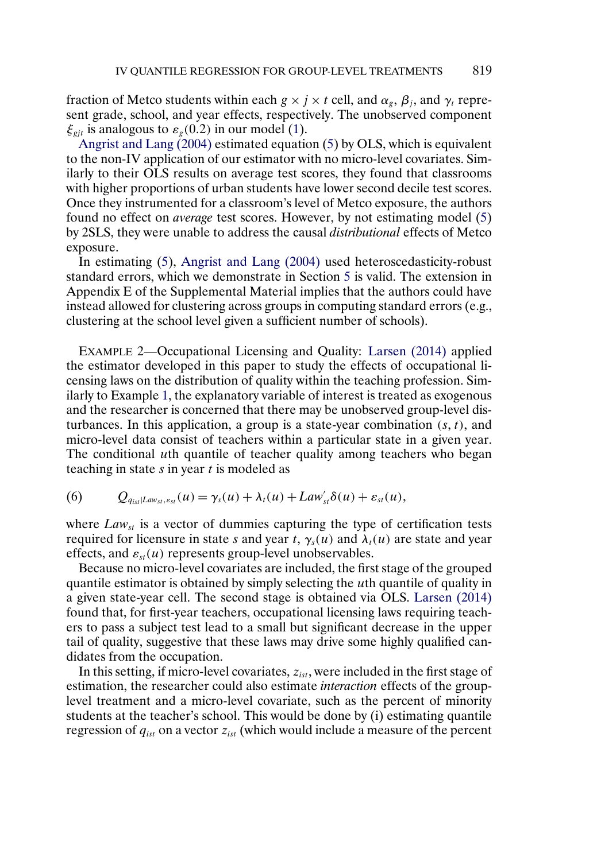<span id="page-11-0"></span>fraction of Metco students within each  $g \times j \times t$  cell, and  $\alpha_g$ ,  $\beta_i$ , and  $\gamma_t$  represent grade, school, and year effects, respectively. The unobserved component  $\xi_{\text{eit}}$  is analogous to  $\varepsilon_{\text{e}}(0.2)$  in our model [\(1\)](#page-4-0).

Angrist and Lang  $(2004)$  estimated equation  $(5)$  by OLS, which is equivalent to the non-IV application of our estimator with no micro-level covariates. Similarly to their OLS results on average test scores, they found that classrooms with higher proportions of urban students have lower second decile test scores. Once they instrumented for a classroom's level of Metco exposure, the authors found no effect on *average* test scores. However, by not estimating model [\(5\)](#page-10-0) by 2SLS, they were unable to address the causal *distributional* effects of Metco exposure.

In estimating [\(5\)](#page-10-0), [Angrist and Lang \(2004\)](#page-23-0) used heteroscedasticity-robust standard errors, which we demonstrate in Section [5](#page-13-0) is valid. The extension in Appendix E of the Supplemental Material implies that the authors could have instead allowed for clustering across groups in computing standard errors (e.g., clustering at the school level given a sufficient number of schools).

EXAMPLE 2—Occupational Licensing and Quality: [Larsen \(2014\)](#page-24-0) applied the estimator developed in this paper to study the effects of occupational licensing laws on the distribution of quality within the teaching profession. Similarly to Example [1,](#page-10-0) the explanatory variable of interest is treated as exogenous and the researcher is concerned that there may be unobserved group-level disturbances. In this application, a group is a state-year combination  $(s, t)$ , and micro-level data consist of teachers within a particular state in a given year. The conditional uth quantile of teacher quality among teachers who began teaching in state  $s$  in year  $t$  is modeled as

(6) 
$$
Q_{q_{ist}|Law_{st}, \varepsilon_{st}}(u) = \gamma_s(u) + \lambda_t(u) + Law'_{st}\delta(u) + \varepsilon_{st}(u),
$$

where  $Law_{st}$  is a vector of dummies capturing the type of certification tests required for licensure in state s and year t,  $\gamma_s(u)$  and  $\lambda_t(u)$  are state and year effects, and  $\varepsilon_{st}(u)$  represents group-level unobservables.

Because no micro-level covariates are included, the first stage of the grouped quantile estimator is obtained by simply selecting the uth quantile of quality in a given state-year cell. The second stage is obtained via OLS. [Larsen \(2014\)](#page-24-0) found that, for first-year teachers, occupational licensing laws requiring teachers to pass a subject test lead to a small but significant decrease in the upper tail of quality, suggestive that these laws may drive some highly qualified candidates from the occupation.

In this setting, if micro-level covariates,  $z_{ist}$ , were included in the first stage of estimation, the researcher could also estimate *interaction* effects of the grouplevel treatment and a micro-level covariate, such as the percent of minority students at the teacher's school. This would be done by (i) estimating quantile regression of  $q_{ist}$  on a vector  $z_{ist}$  (which would include a measure of the percent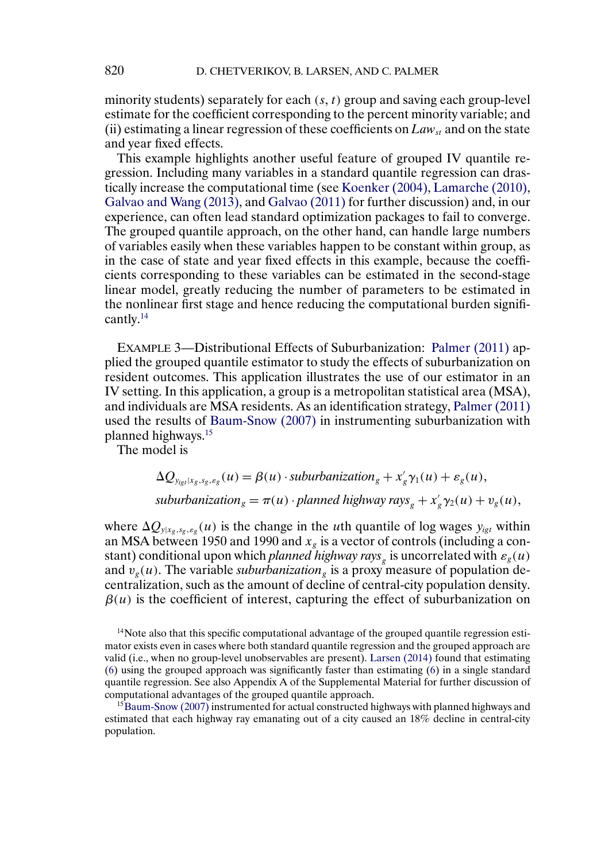<span id="page-12-0"></span>minority students) separately for each  $(s, t)$  group and saving each group-level estimate for the coefficient corresponding to the percent minority variable; and (ii) estimating a linear regression of these coefficients on  $Law_{st}$  and on the state and year fixed effects.

This example highlights another useful feature of grouped IV quantile regression. Including many variables in a standard quantile regression can drastically increase the computational time (see [Koenker \(2004\),](#page-24-0) [Lamarche \(2010\),](#page-24-0) [Galvao and Wang \(2013\),](#page-24-0) and [Galvao \(2011\)](#page-24-0) for further discussion) and, in our experience, can often lead standard optimization packages to fail to converge. The grouped quantile approach, on the other hand, can handle large numbers of variables easily when these variables happen to be constant within group, as in the case of state and year fixed effects in this example, because the coefficients corresponding to these variables can be estimated in the second-stage linear model, greatly reducing the number of parameters to be estimated in the nonlinear first stage and hence reducing the computational burden significantly.14

EXAMPLE 3—Distributional Effects of Suburbanization: [Palmer \(2011\)](#page-24-0) applied the grouped quantile estimator to study the effects of suburbanization on resident outcomes. This application illustrates the use of our estimator in an IV setting. In this application, a group is a metropolitan statistical area (MSA), and individuals are MSA residents. As an identification strategy, [Palmer \(2011\)](#page-24-0) used the results of [Baum-Snow \(2007\)](#page-23-0) in instrumenting suburbanization with planned highways.15

The model is

$$
\Delta Q_{y_{\text{fg}t}|x_{\text{g}},s_{\text{g}},\varepsilon_{\text{g}}}(u) = \beta(u) \cdot \text{suburbation}_{\text{z}} + x_{\text{g}}' \gamma_1(u) + \varepsilon_{\text{g}}(u),
$$
\n
$$
\text{suburbation}_{\text{z}} = \pi(u) \cdot \text{planned highway rays}_{\text{g}} + x_{\text{g}}' \gamma_2(u) + v_{\text{g}}(u),
$$

where  $\Delta Q_{y|x_g,s_g,\varepsilon_g}(u)$  is the change in the *u*th quantile of log wages  $y_{igt}$  within an MSA between 1950 and 1990 and  $x_g$  is a vector of controls (including a constant) conditional upon which *planned highway rays<sub>g</sub>* is uncorrelated with  $\varepsilon_{g}(u)$ and  $v<sub>g</sub>(u)$ . The variable *suburbanization*<sub>g</sub> is a proxy measure of population decentralization, such as the amount of decline of central-city population density.  $\beta(u)$  is the coefficient of interest, capturing the effect of suburbanization on

 $<sup>15</sup>Baum-Snow (2007) instrumented for actual constructed highways with planned highways and$ </sup> estimated that each highway ray emanating out of a city caused an 18% decline in central-city population.

<sup>&</sup>lt;sup>14</sup>Note also that this specific computational advantage of the grouped quantile regression estimator exists even in cases where both standard quantile regression and the grouped approach are valid (i.e., when no group-level unobservables are present). [Larsen \(2014\)](#page-24-0) found that estimating [\(6\)](#page-11-0) using the grouped approach was significantly faster than estimating [\(6\)](#page-11-0) in a single standard quantile regression. See also Appendix A of the Supplemental Material for further discussion of computational advantages of the grouped quantile approach.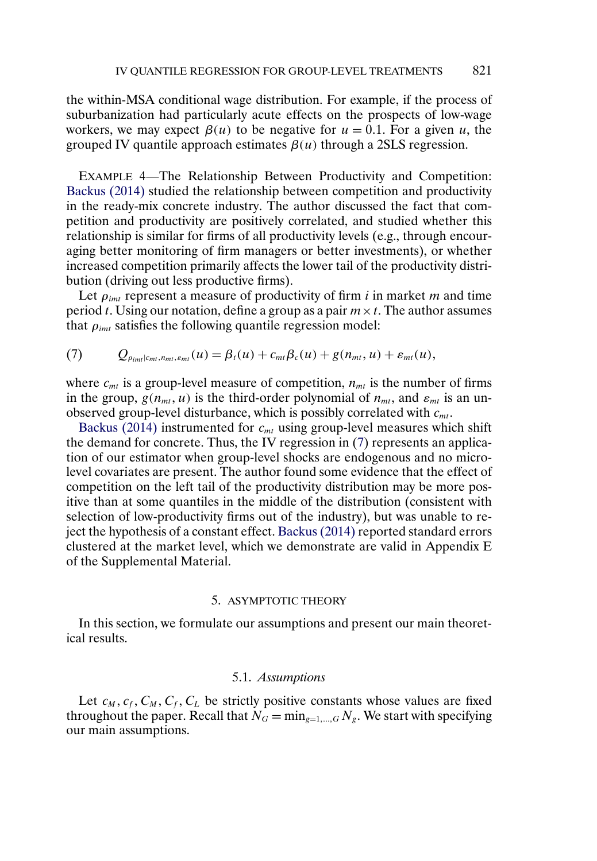<span id="page-13-0"></span>the within-MSA conditional wage distribution. For example, if the process of suburbanization had particularly acute effects on the prospects of low-wage workers, we may expect  $\beta(u)$  to be negative for  $u = 0.1$ . For a given u, the grouped IV quantile approach estimates  $\beta(u)$  through a 2SLS regression.

EXAMPLE 4—The Relationship Between Productivity and Competition: [Backus \(2014\)](#page-23-0) studied the relationship between competition and productivity in the ready-mix concrete industry. The author discussed the fact that competition and productivity are positively correlated, and studied whether this relationship is similar for firms of all productivity levels (e.g., through encouraging better monitoring of firm managers or better investments), or whether increased competition primarily affects the lower tail of the productivity distribution (driving out less productive firms).

Let  $\rho_{imt}$  represent a measure of productivity of firm i in market m and time period t. Using our notation, define a group as a pair  $m \times t$ . The author assumes that  $\rho_{imt}$  satisfies the following quantile regression model:

$$
(7) \qquad Q_{\rho_{imt}|c_{mt},n_{mt},\varepsilon_{mt}}(u)=\beta_t(u)+c_{mt}\beta_c(u)+g(n_{mt},u)+\varepsilon_{mt}(u),
$$

where  $c_{mt}$  is a group-level measure of competition,  $n_{mt}$  is the number of firms in the group,  $g(n_{mt}, u)$  is the third-order polynomial of  $n_{mt}$ , and  $\varepsilon_{mt}$  is an unobserved group-level disturbance, which is possibly correlated with  $c_{mt}$ .

[Backus \(2014\)](#page-23-0) instrumented for  $c_{mt}$  using group-level measures which shift the demand for concrete. Thus, the IV regression in (7) represents an application of our estimator when group-level shocks are endogenous and no microlevel covariates are present. The author found some evidence that the effect of competition on the left tail of the productivity distribution may be more positive than at some quantiles in the middle of the distribution (consistent with selection of low-productivity firms out of the industry), but was unable to reject the hypothesis of a constant effect. [Backus \(2014\)](#page-23-0) reported standard errors clustered at the market level, which we demonstrate are valid in Appendix E of the Supplemental Material.

#### 5. ASYMPTOTIC THEORY

In this section, we formulate our assumptions and present our main theoretical results.

#### 5.1. *Assumptions*

Let  $c_M$ ,  $c_f$ ,  $C_M$ ,  $C_f$ ,  $C_L$  be strictly positive constants whose values are fixed throughout the paper. Recall that  $N_G = \min_{g=1,\dots,G} N_g$ . We start with specifying our main assumptions.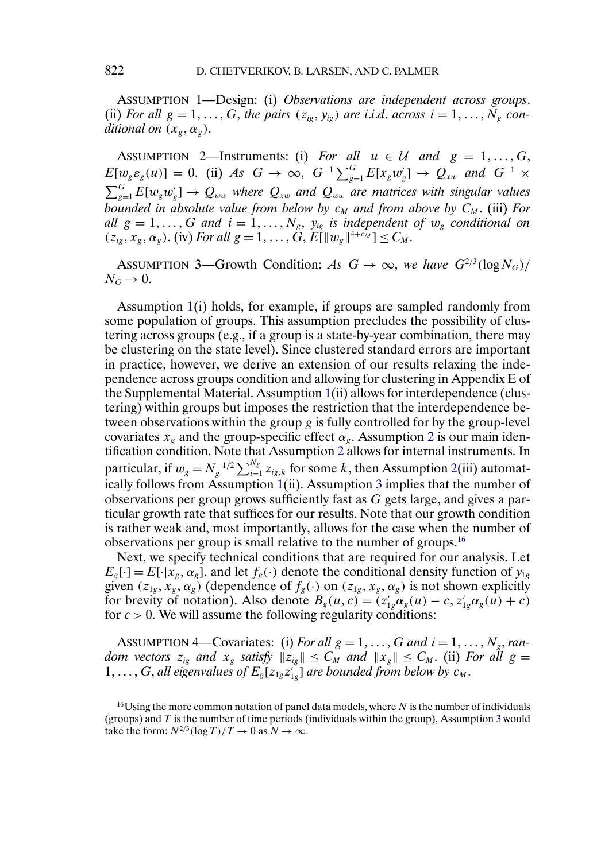<span id="page-14-0"></span>ASSUMPTION 1—Design: (i) *Observations are independent across groups*. (ii) *For all*  $g = 1, \ldots, G$ , *the pairs*  $(z_{ig}, y_{ig})$  *are i.i.d. across*  $i = 1, \ldots, N_g$  *conditional on*  $(x_g, \alpha_g)$ .

ASSUMPTION 2—Instruments: (i) *For all*  $u \in \mathcal{U}$  *and*  $g = 1, \ldots, G$ ,  $E[w_g \varepsilon_g(u)] = 0$ . (ii) As  $G \to \infty$ ,  $G^{-1} \sum_{g=1}^G E[x_g w'_g] \to Q_{xw}$  and  $G^{-1} \times$  $\sum_{g=1}^{G} E[w_g w'_g] \to Q_{ww}$  where  $Q_{xw}$  and  $Q_{ww}$  are matrices with singular values *bounded in absolute value from below by*  $c_M$  *and from above by*  $C_M$ . (iii) *For all*  $g = 1, \ldots, G$  *and*  $i = 1, \ldots, N_g$ ,  $y_{ig}$  *is independent of*  $w_g$  *conditional on*  $(z_{ig}, x_g, \alpha_g)$ . (iv) *For all*  $g = 1, \ldots, \tilde{G}, E[\|w_g\|^{4+c_M}] \leq C_M$ .

ASSUMPTION 3—Growth Condition: *As*  $G \rightarrow \infty$ , *we have*  $G^{2/3}(\log N_G)/$  $N_G \rightarrow 0$ .

Assumption 1(i) holds, for example, if groups are sampled randomly from some population of groups. This assumption precludes the possibility of clustering across groups (e.g., if a group is a state-by-year combination, there may be clustering on the state level). Since clustered standard errors are important in practice, however, we derive an extension of our results relaxing the independence across groups condition and allowing for clustering in Appendix E of the Supplemental Material. Assumption 1(ii) allows for interdependence (clustering) within groups but imposes the restriction that the interdependence between observations within the group g is fully controlled for by the group-level covariates  $x_g$  and the group-specific effect  $\alpha_g$ . Assumption 2 is our main identification condition. Note that Assumption 2 allows for internal instruments. In particular, if  $w_g = N_g^{-1/2} \sum_{i=1}^{N_g} z_{ig,k}$  for some k, then Assumption 2(iii) automatically follows from Assumption 1(ii). Assumption 3 implies that the number of observations per group grows sufficiently fast as G gets large, and gives a particular growth rate that suffices for our results. Note that our growth condition is rather weak and, most importantly, allows for the case when the number of observations per group is small relative to the number of groups.16

Next, we specify technical conditions that are required for our analysis. Let  $E_g[\cdot] = E[\cdot | x_g, \alpha_g]$ , and let  $f_g(\cdot)$  denote the conditional density function of  $y_{1g}$ given  $(z_{1g}, x_g, \alpha_g)$  (dependence of  $f_g(\cdot)$  on  $(z_{1g}, x_g, \alpha_g)$  is not shown explicitly for brevity of notation). Also denote  $B_g(u, c) = (z'_{1g} \alpha_g(u) - c, z'_{1g} \alpha_g(u) + c)$ for  $c > 0$ . We will assume the following regularity conditions:

ASSUMPTION 4—Covariates: (i) *For all*  $g = 1, \ldots, G$  *and*  $i = 1, \ldots, N_g$ , *random vectors*  $z_{ig}$  and  $x_g$  *satisfy*  $||z_{ig}|| \leq C_M$  and  $||x_g|| \leq C_M$ . (ii) *For all*  $g =$  $1, \ldots, G$ , all eigenvalues of  $E_g[z_{1g}z'_{1g}]$  are bounded from below by  $c_M$ .

<sup>&</sup>lt;sup>16</sup>Using the more common notation of panel data models, where N is the number of individuals (groups) and  $T$  is the number of time periods (individuals within the group), Assumption 3 would take the form:  $N^{2/3}(\log T)/T \to 0$  as  $N \to \infty$ .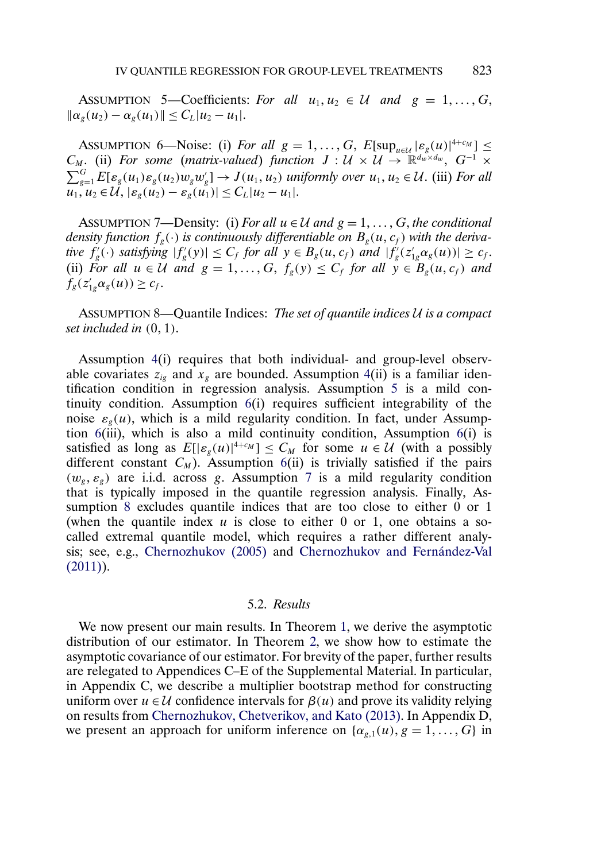<span id="page-15-0"></span>ASSUMPTION 5—Coefficients: *For all*  $u_1, u_2 \in \mathcal{U}$  and  $g = 1, \ldots, G$ ,  $\|\alpha_g(u_2) - \alpha_g(u_1)\| \leq C_L|u_2 - u_1|.$ 

ASSUMPTION 6—Noise: (i) *For all*  $g = 1, ..., G$ ,  $E[\sup_{u \in U} |\varepsilon_g(u)|^{4+\epsilon_M}] \le$  $C_M$ . (ii) *For some (matrix-valued) function*  $J: U \times U \rightarrow \mathbb{R}^{d_w \times d_w}$ ,  $G^{-1} \times$  $\sum_{g=1}^{G} E[g_g(u_1)g_g(u_2)w_g(u'_g] \rightarrow J(u_1, u_2)$  *uniformly over*  $u_1, u_2 \in \mathcal{U}$ . (iii) *For all*  $\overline{u_1}^s, u_2 \in \mathcal{U}, |\varepsilon_g(u_2) - \varepsilon_g(u_1)| \leq C_L |u_2 - u_1|.$ 

ASSUMPTION 7—Density: (i) *For all*  $u \in \mathcal{U}$  *and*  $g = 1, \ldots, G$ , *the conditional density function*  $f_g(\cdot)$  *is continuously differentiable on*  $B_g(u, c_f)$  *with the derivative*  $f'_{g}(\cdot)$  *satisfying*  $|f'_{g}(y)| \leq C_f$  *for all*  $y \in B_g(u, c_f)$  *and*  $|f'_{g}(z'_{1g} \alpha_g(u))| \geq c_f$ . (ii) *For all*  $u \in \mathcal{U}$  *and*  $g = 1, \ldots, G$ ,  $f_g(y) \leq C_f$  *for all*  $y \in B_g(u, c_f)$  *and*  $f_g(z'_{1g}\alpha_g(u)) \geq c_f.$ 

ASSUMPTION 8—Quantile Indices: *The set of quantile indices* U *is a compact set included in*  $(0, 1)$ .

Assumption [4\(](#page-14-0)i) requires that both individual- and group-level observable covariates  $z_{ig}$  and  $x_g$  are bounded. Assumption [4\(](#page-14-0)ii) is a familiar identification condition in regression analysis. Assumption 5 is a mild continuity condition. Assumption 6(i) requires sufficient integrability of the noise  $\varepsilon_g(u)$ , which is a mild regularity condition. In fact, under Assumption  $6(iii)$ , which is also a mild continuity condition, Assumption  $6(i)$  is satisfied as long as  $E[|\varepsilon_g(u)|^{4+\epsilon_M}] \leq C_M$  for some  $u \in \mathcal{U}$  (with a possibly different constant  $C_M$ ). Assumption 6(ii) is trivially satisfied if the pairs  $(w_g, \varepsilon_g)$  are i.i.d. across g. Assumption 7 is a mild regularity condition that is typically imposed in the quantile regression analysis. Finally, Assumption 8 excludes quantile indices that are too close to either 0 or 1 (when the quantile index  $u$  is close to either 0 or 1, one obtains a socalled extremal quantile model, which requires a rather different analysis; see, e.g., [Chernozhukov \(2005\)](#page-23-0) and [Chernozhukov and Fernández-Val](#page-23-0)  $(2011)$ ).

#### 5.2. *Results*

We now present our main results. In Theorem [1,](#page-16-0) we derive the asymptotic distribution of our estimator. In Theorem [2,](#page-17-0) we show how to estimate the asymptotic covariance of our estimator. For brevity of the paper, further results are relegated to Appendices C–E of the Supplemental Material. In particular, in Appendix C, we describe a multiplier bootstrap method for constructing uniform over  $u \in U$  confidence intervals for  $\beta(u)$  and prove its validity relying on results from [Chernozhukov, Chetverikov, and Kato \(2013\).](#page-23-0) In Appendix D, we present an approach for uniform inference on  $\{\alpha_{g,1}(u), g = 1, \ldots, G\}$  in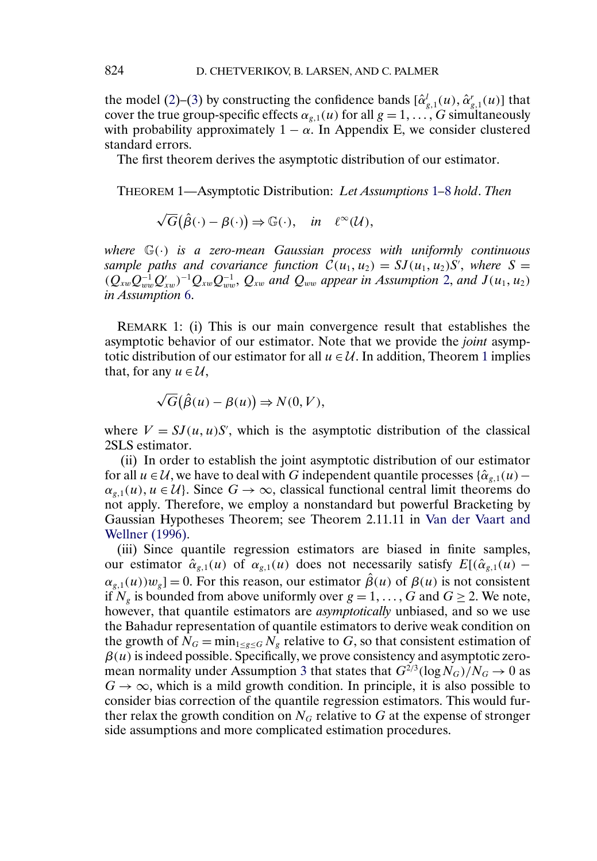<span id="page-16-0"></span>the model [\(2\)](#page-4-0)–[\(3\)](#page-4-0) by constructing the confidence bands  $[\hat{\alpha}_{g,1}^l(u), \hat{\alpha}_{g,1}^r(u)]$  that cover the true group-specific effects  $\alpha_{g,1}(u)$  for all  $g = 1, \ldots, G$  simultaneously with probability approximately  $1 - \alpha$ . In Appendix E, we consider clustered standard errors.

The first theorem derives the asymptotic distribution of our estimator.

THEOREM 1—Asymptotic Distribution: *Let Assumptions* [1](#page-14-0)*–*[8](#page-15-0) *hold*. *Then*

$$
\sqrt{G}(\hat{\beta}(\cdot) - \beta(\cdot)) \Rightarrow \mathbb{G}(\cdot), \quad in \quad \ell^{\infty}(\mathcal{U}),
$$

*where* G(·) *is a zero-mean Gaussian process with uniformly continuous sample paths and covariance function*  $C(u_1, u_2) = SJ(u_1, u_2)S'$ , where  $S =$  $(Q_{xw}Q_{ww}^{-1}Q_{xw}')^{-1}Q_{xw}Q_{ww}^{-1}$ ,  $Q_{xw}$  and  $Q_{ww}$  appear in Assumption [2,](#page-14-0) and  $J(u_1, u_2)$ *in Assumption* [6.](#page-15-0)

REMARK 1: (i) This is our main convergence result that establishes the asymptotic behavior of our estimator. Note that we provide the *joint* asymptotic distribution of our estimator for all  $u \in \mathcal{U}$ . In addition, Theorem 1 implies that, for any  $u \in \mathcal{U}$ ,

$$
\sqrt{G}(\hat{\beta}(u) - \beta(u)) \Rightarrow N(0, V),
$$

where  $V = \frac{SI(u, u)S'}{v}$ , which is the asymptotic distribution of the classical 2SLS estimator.

(ii) In order to establish the joint asymptotic distribution of our estimator for all  $u \in \mathcal{U}$ , we have to deal with G independent quantile processes { $\hat{\alpha}_{g,1}(u)$  –  $\alpha_{g,1}(u)$ ,  $u \in U$ . Since  $G \to \infty$ , classical functional central limit theorems do not apply. Therefore, we employ a nonstandard but powerful Bracketing by Gaussian Hypotheses Theorem; see Theorem 2.11.11 in [Van der Vaart and](#page-24-0) [Wellner \(1996\).](#page-24-0)

(iii) Since quantile regression estimators are biased in finite samples, our estimator  $\hat{\alpha}_{g,1}(u)$  of  $\alpha_{g,1}(u)$  does not necessarily satisfy  $E[(\hat{\alpha}_{g,1}(u) \alpha_{g,1}(u)w_g$  = 0. For this reason, our estimator  $\hat{\beta}(u)$  of  $\beta(u)$  is not consistent if  $N_g$  is bounded from above uniformly over  $g = 1, \ldots, G$  and  $G \ge 2$ . We note, however, that quantile estimators are *asymptotically* unbiased, and so we use the Bahadur representation of quantile estimators to derive weak condition on the growth of  $N_G = \min_{1 \leq g \leq G} N_g$  relative to G, so that consistent estimation of  $\beta(u)$  is indeed possible. Specifically, we prove consistency and asymptotic zero-mean normality under Assumption [3](#page-14-0) that states that  $G^{2/3}(\log N_G)/N_G \rightarrow 0$  as  $G \rightarrow \infty$ , which is a mild growth condition. In principle, it is also possible to consider bias correction of the quantile regression estimators. This would further relax the growth condition on  $N<sub>G</sub>$  relative to G at the expense of stronger side assumptions and more complicated estimation procedures.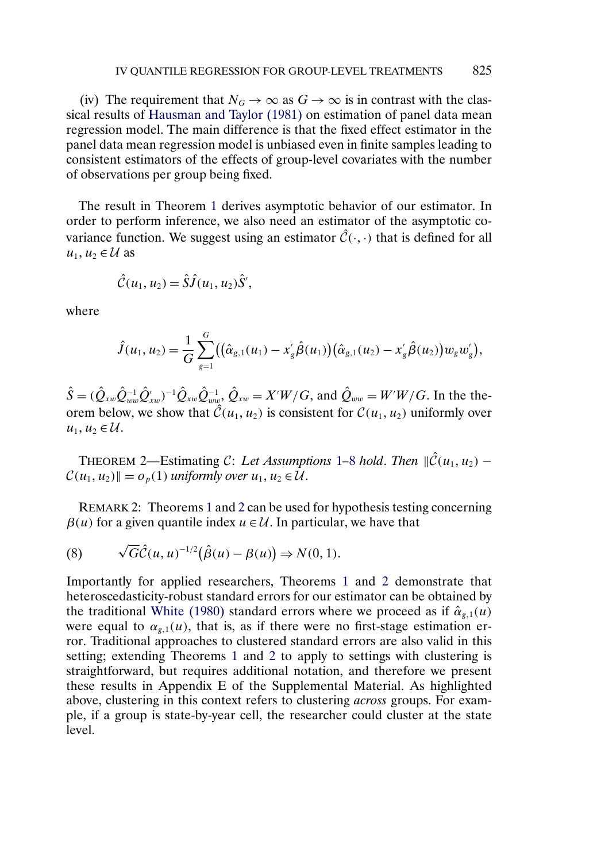<span id="page-17-0"></span>(iv) The requirement that  $N_G \to \infty$  as  $G \to \infty$  is in contrast with the classical results of [Hausman and Taylor \(1981\)](#page-24-0) on estimation of panel data mean regression model. The main difference is that the fixed effect estimator in the panel data mean regression model is unbiased even in finite samples leading to consistent estimators of the effects of group-level covariates with the number of observations per group being fixed.

The result in Theorem [1](#page-16-0) derives asymptotic behavior of our estimator. In order to perform inference, we also need an estimator of the asymptotic covariance function. We suggest using an estimator  $\hat{\mathcal{C}}(\cdot,\cdot)$  that is defined for all  $u_1, u_2 \in \mathcal{U}$  as

$$
\hat{\mathcal{C}}(u_1, u_2) = \hat{S}\hat{J}(u_1, u_2)\hat{S}',
$$

where

$$
\hat{J}(u_1, u_2) = \frac{1}{G} \sum_{g=1}^G ((\hat{\alpha}_{g,1}(u_1) - x'_g \hat{\beta}(u_1)) (\hat{\alpha}_{g,1}(u_2) - x'_g \hat{\beta}(u_2)) w_g w'_g),
$$

 $\hat{S} = (\hat{Q}_{xw}\hat{Q}_{xw}^{-1}\hat{Q}_{xw})^{-1}\hat{Q}_{xw}\hat{Q}_{ww}^{-1}, \hat{Q}_{xw} = X'W/G$ , and  $\hat{Q}_{ww} = W'W/G$ . In the theorem below, we show that  $\hat{\mathcal{C}}(u_1, u_2)$  is consistent for  $\mathcal{C}(u_1, u_2)$  uniformly over  $u_1, u_2 \in \mathcal{U}$ .

THEOREM 2—Estimating C: Let Assumptions [1](#page-14-0)–[8](#page-15-0) hold. Then  $\|\hat{\mathcal{C}}(u_1, u_2) \mathcal{C}(u_1, u_2)$ || =  $o_p(1)$  *uniformly over*  $u_1, u_2 \in \mathcal{U}$ .

REMARK 2: Theorems [1](#page-16-0) and 2 can be used for hypothesis testing concerning  $\beta(u)$  for a given quantile index  $u \in \mathcal{U}$ . In particular, we have that

(8) 
$$
\sqrt{G}\hat{\mathcal{C}}(u,u)^{-1/2}(\hat{\beta}(u)-\beta(u)) \Rightarrow N(0,1).
$$

Importantly for applied researchers, Theorems [1](#page-16-0) and 2 demonstrate that heteroscedasticity-robust standard errors for our estimator can be obtained by the traditional [White \(1980\)](#page-25-0) standard errors where we proceed as if  $\hat{\alpha}_{g,1}(u)$ were equal to  $\alpha_{g,1}(u)$ , that is, as if there were no first-stage estimation error. Traditional approaches to clustered standard errors are also valid in this setting; extending Theorems [1](#page-16-0) and 2 to apply to settings with clustering is straightforward, but requires additional notation, and therefore we present these results in Appendix E of the Supplemental Material. As highlighted above, clustering in this context refers to clustering *across* groups. For example, if a group is state-by-year cell, the researcher could cluster at the state level.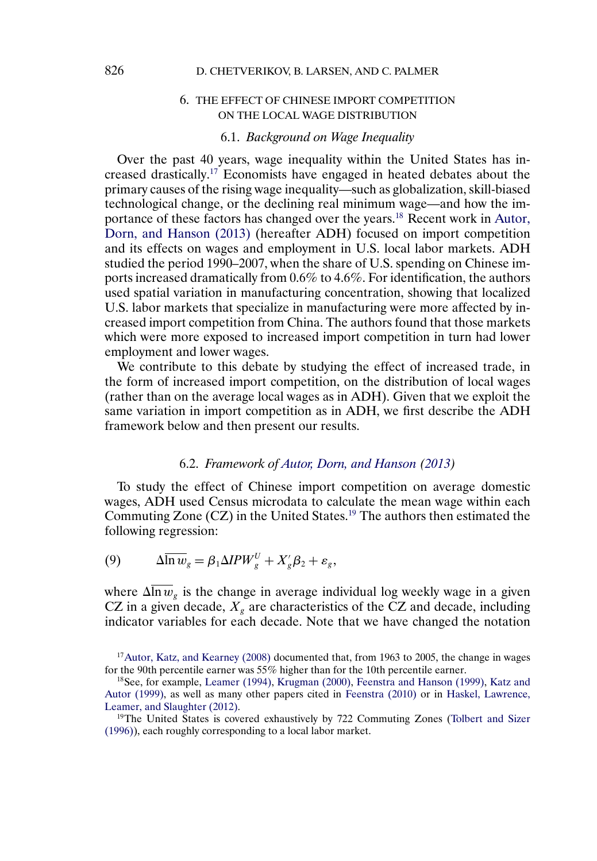## <span id="page-18-0"></span>826 D. CHETVERIKOV, B. LARSEN, AND C. PALMER

## 6. THE EFFECT OF CHINESE IMPORT COMPETITION ON THE LOCAL WAGE DISTRIBUTION

#### 6.1. *Background on Wage Inequality*

Over the past 40 years, wage inequality within the United States has increased drastically.17 Economists have engaged in heated debates about the primary causes of the rising wage inequality—such as globalization, skill-biased technological change, or the declining real minimum wage—and how the im-portance of these factors has changed over the years.<sup>18</sup> Recent work in [Autor,](#page-23-0) [Dorn, and Hanson \(2013\)](#page-23-0) (hereafter ADH) focused on import competition and its effects on wages and employment in U.S. local labor markets. ADH studied the period 1990–2007, when the share of U.S. spending on Chinese imports increased dramatically from 0.6% to 4.6%. For identification, the authors used spatial variation in manufacturing concentration, showing that localized U.S. labor markets that specialize in manufacturing were more affected by increased import competition from China. The authors found that those markets which were more exposed to increased import competition in turn had lower employment and lower wages.

We contribute to this debate by studying the effect of increased trade, in the form of increased import competition, on the distribution of local wages (rather than on the average local wages as in ADH). Given that we exploit the same variation in import competition as in ADH, we first describe the ADH framework below and then present our results.

## 6.2. *Framework of [Autor, Dorn, and Hanson](#page-23-0) [\(2013\)](#page-23-0)*

To study the effect of Chinese import competition on average domestic wages, ADH used Census microdata to calculate the mean wage within each Commuting Zone  $(CZ)$  in the United States.<sup>19</sup> The authors then estimated the following regression:

$$
(9) \qquad \Delta \overline{\ln w}_g = \beta_1 \Delta IPW_g^U + X_g^{\prime} \beta_2 + \varepsilon_g,
$$

where  $\Delta \overline{\ln w_g}$  is the change in average individual log weekly wage in a given CZ in a given decade,  $X_{g}$  are characteristics of the CZ and decade, including indicator variables for each decade. Note that we have changed the notation

<sup>&</sup>lt;sup>17</sup>Autor, Katz, and Kearney (2008) documented that, from 1963 to 2005, the change in wages for the 90th percentile earner was 55% higher than for the 10th percentile earner.

<sup>18</sup>See, for example, [Leamer \(1994\),](#page-24-0) [Krugman \(2000\),](#page-24-0) [Feenstra and Hanson \(1999\),](#page-23-0) [Katz and](#page-24-0) [Autor \(1999\),](#page-24-0) as well as many other papers cited in [Feenstra \(2010\)](#page-23-0) or in [Haskel, Lawrence,](#page-24-0) [Leamer, and Slaughter \(2012\).](#page-24-0)

<sup>&</sup>lt;sup>19</sup>The United States is covered exhaustively by 722 Commuting Zones [\(Tolbert and Sizer](#page-24-0) [\(1996\)\)](#page-24-0), each roughly corresponding to a local labor market.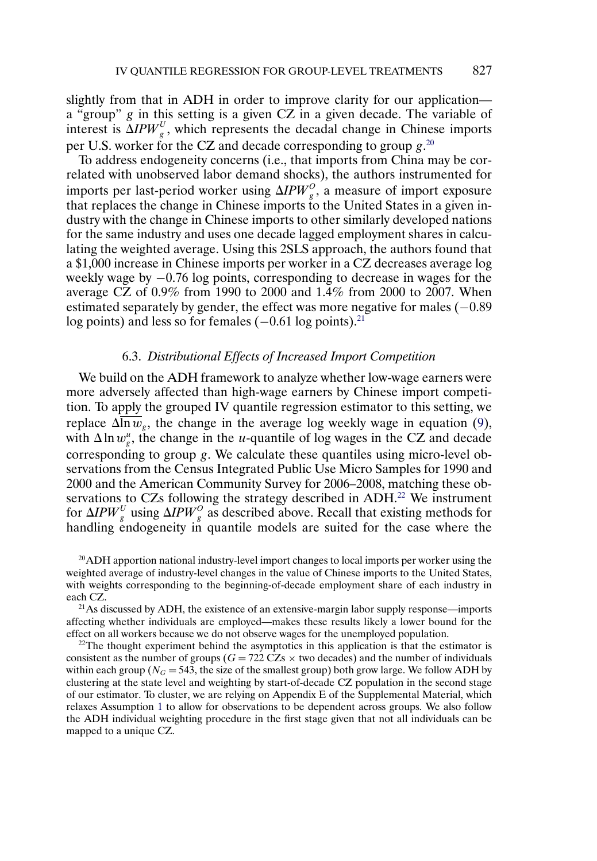slightly from that in ADH in order to improve clarity for our application a "group" g in this setting is a given CZ in a given decade. The variable of interest is  $\Delta IPW_g^U$ , which represents the decadal change in Chinese imports per U.S. worker for the CZ and decade corresponding to group  $g^{20}$ 

To address endogeneity concerns (i.e., that imports from China may be correlated with unobserved labor demand shocks), the authors instrumented for imports per last-period worker using  $\Delta IPW_g^O$ , a measure of import exposure that replaces the change in Chinese imports to the United States in a given industry with the change in Chinese imports to other similarly developed nations for the same industry and uses one decade lagged employment shares in calculating the weighted average. Using this 2SLS approach, the authors found that a \$1,000 increase in Chinese imports per worker in a CZ decreases average log weekly wage by −0.76 log points, corresponding to decrease in wages for the average CZ of 0.9% from 1990 to 2000 and 1.4% from 2000 to 2007. When estimated separately by gender, the effect was more negative for males (−0.89 log points) and less so for females (−0.61 log points).<sup>21</sup>

#### 6.3. *Distributional Effects of Increased Import Competition*

We build on the ADH framework to analyze whether low-wage earners were more adversely affected than high-wage earners by Chinese import competition. To apply the grouped IV quantile regression estimator to this setting, we replace  $\Delta \overline{\ln w_g}$ , the change in the average log weekly wage in equation [\(9\)](#page-18-0), with  $\Delta \ln w_g^u$ , the change in the u-quantile of log wages in the CZ and decade corresponding to group g. We calculate these quantiles using micro-level observations from the Census Integrated Public Use Micro Samples for 1990 and 2000 and the American Community Survey for 2006–2008, matching these observations to CZs following the strategy described in ADH.<sup>22</sup> We instrument for  $\Delta IPW_g^U$  using  $\Delta IPW_g^O$  as described above. Recall that existing methods for handling endogeneity in quantile models are suited for the case where the

 $22$ The thought experiment behind the asymptotics in this application is that the estimator is consistent as the number of groups ( $G = 722 \text{ CZs} \times$  two decades) and the number of individuals within each group ( $N_G$  = 543, the size of the smallest group) both grow large. We follow ADH by clustering at the state level and weighting by start-of-decade CZ population in the second stage of our estimator. To cluster, we are relying on Appendix E of the Supplemental Material, which relaxes Assumption [1](#page-14-0) to allow for observations to be dependent across groups. We also follow the ADH individual weighting procedure in the first stage given that not all individuals can be mapped to a unique CZ.

 $20$ ADH apportion national industry-level import changes to local imports per worker using the weighted average of industry-level changes in the value of Chinese imports to the United States, with weights corresponding to the beginning-of-decade employment share of each industry in each CZ.

 $^{21}$ As discussed by ADH, the existence of an extensive-margin labor supply response—imports affecting whether individuals are employed—makes these results likely a lower bound for the effect on all workers because we do not observe wages for the unemployed population.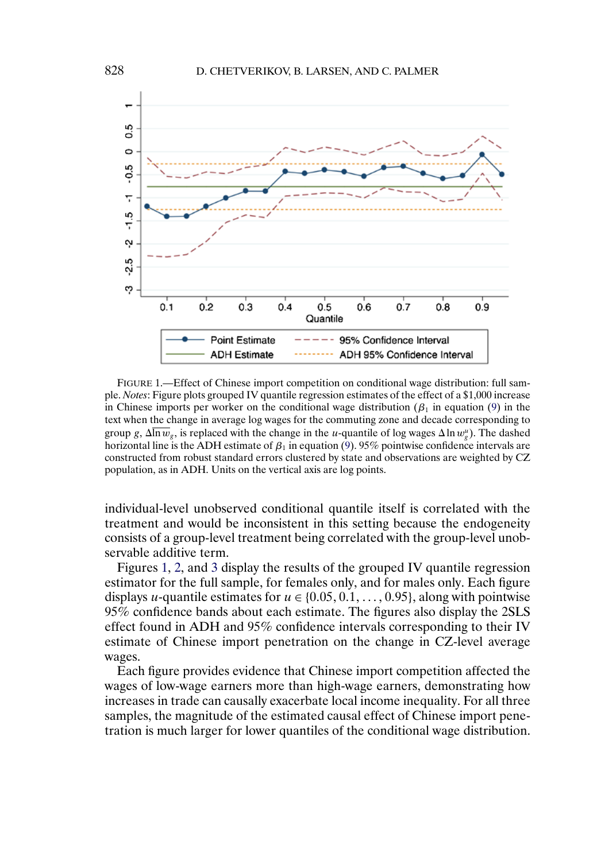<span id="page-20-0"></span>

FIGURE 1.—Effect of Chinese import competition on conditional wage distribution: full sample. *Notes*: Figure plots grouped IV quantile regression estimates of the effect of a \$1,000 increase in Chinese imports per worker on the conditional wage distribution ( $\beta_1$  in equation [\(9\)](#page-18-0) in the text when the change in average log wages for the commuting zone and decade corresponding to group g,  $\Delta \overline{\ln w_g}$ , is replaced with the change in the *u*-quantile of log wages  $\Delta \ln w_g^u$ ). The dashed horizontal line is the ADH estimate of  $\beta_1$  in equation [\(9\)](#page-18-0). 95% pointwise confidence intervals are constructed from robust standard errors clustered by state and observations are weighted by CZ population, as in ADH. Units on the vertical axis are log points.

individual-level unobserved conditional quantile itself is correlated with the treatment and would be inconsistent in this setting because the endogeneity consists of a group-level treatment being correlated with the group-level unobservable additive term.

Figures 1, [2,](#page-21-0) and [3](#page-22-0) display the results of the grouped IV quantile regression estimator for the full sample, for females only, and for males only. Each figure displays u-quantile estimates for  $u \in \{0.05, 0.1, \ldots, 0.95\}$ , along with pointwise 95% confidence bands about each estimate. The figures also display the 2SLS effect found in ADH and 95% confidence intervals corresponding to their IV estimate of Chinese import penetration on the change in CZ-level average wages.

Each figure provides evidence that Chinese import competition affected the wages of low-wage earners more than high-wage earners, demonstrating how increases in trade can causally exacerbate local income inequality. For all three samples, the magnitude of the estimated causal effect of Chinese import penetration is much larger for lower quantiles of the conditional wage distribution.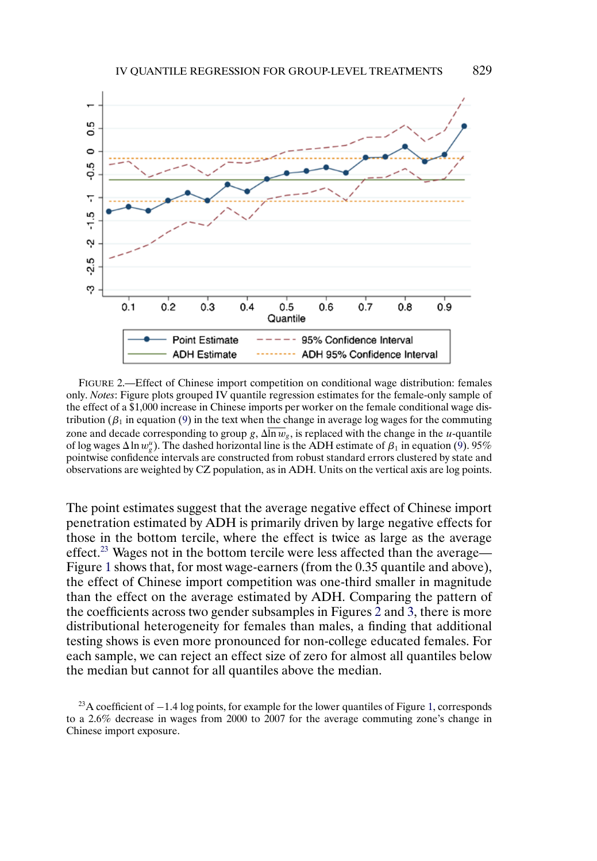<span id="page-21-0"></span>

FIGURE 2.—Effect of Chinese import competition on conditional wage distribution: females only. *Notes*: Figure plots grouped IV quantile regression estimates for the female-only sample of the effect of a \$1,000 increase in Chinese imports per worker on the female conditional wage distribution ( $\beta_1$  in equation [\(9\)](#page-18-0) in the text when the change in average log wages for the commuting zone and decade corresponding to group g,  $\Delta \overline{\ln w_g}$ , is replaced with the change in the u-quantile of log wages  $\Delta \ln w_g^u$ ). The dashed horizontal line is the ADH estimate of  $\beta_1$  in equation [\(9\)](#page-18-0). 95% pointwise confidence intervals are constructed from robust standard errors clustered by state and observations are weighted by CZ population, as in ADH. Units on the vertical axis are log points.

The point estimates suggest that the average negative effect of Chinese import penetration estimated by ADH is primarily driven by large negative effects for those in the bottom tercile, where the effect is twice as large as the average effect.<sup>23</sup> Wages not in the bottom tercile were less affected than the average— Figure [1](#page-20-0) shows that, for most wage-earners (from the 0.35 quantile and above), the effect of Chinese import competition was one-third smaller in magnitude than the effect on the average estimated by ADH. Comparing the pattern of the coefficients across two gender subsamples in Figures 2 and [3,](#page-22-0) there is more distributional heterogeneity for females than males, a finding that additional testing shows is even more pronounced for non-college educated females. For each sample, we can reject an effect size of zero for almost all quantiles below the median but cannot for all quantiles above the median.

<sup>23</sup>A coefficient of  $-1.4$  log points, for example for the lower quantiles of Figure [1,](#page-20-0) corresponds to a 2.6% decrease in wages from 2000 to 2007 for the average commuting zone's change in Chinese import exposure.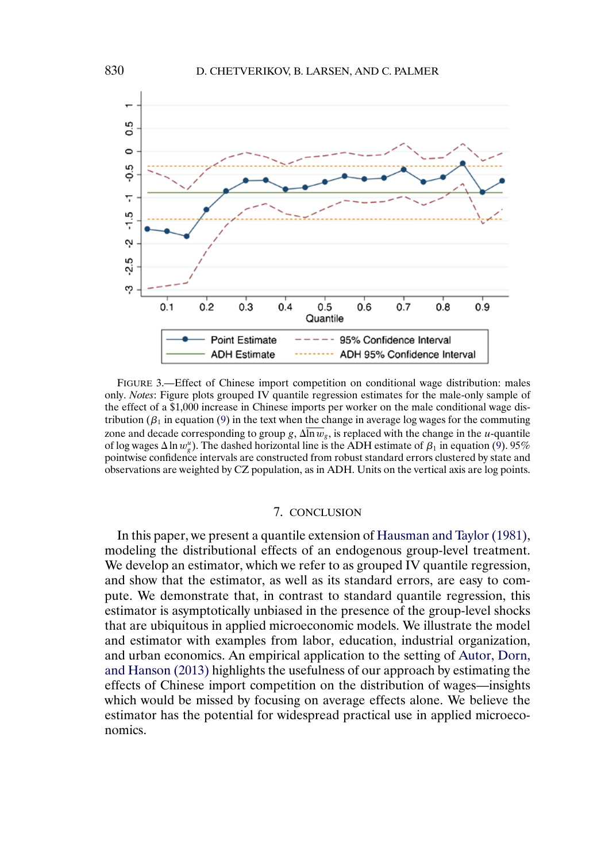<span id="page-22-0"></span>

FIGURE 3.—Effect of Chinese import competition on conditional wage distribution: males only. *Notes*: Figure plots grouped IV quantile regression estimates for the male-only sample of the effect of a \$1,000 increase in Chinese imports per worker on the male conditional wage distribution ( $\beta_1$  in equation [\(9\)](#page-18-0) in the text when the change in average log wages for the commuting zone and decade corresponding to group g,  $\Delta \overline{\ln w_g}$ , is replaced with the change in the u-quantile of log wages  $\Delta \ln w_g^u$ ). The dashed horizontal line is the ADH estimate of  $\beta_1$  in equation [\(9\)](#page-18-0). 95% pointwise confidence intervals are constructed from robust standard errors clustered by state and observations are weighted by CZ population, as in ADH. Units on the vertical axis are log points.

## 7. CONCLUSION

In this paper, we present a quantile extension of [Hausman and Taylor \(1981\),](#page-24-0) modeling the distributional effects of an endogenous group-level treatment. We develop an estimator, which we refer to as grouped IV quantile regression, and show that the estimator, as well as its standard errors, are easy to compute. We demonstrate that, in contrast to standard quantile regression, this estimator is asymptotically unbiased in the presence of the group-level shocks that are ubiquitous in applied microeconomic models. We illustrate the model and estimator with examples from labor, education, industrial organization, and urban economics. An empirical application to the setting of [Autor, Dorn,](#page-23-0) [and Hanson \(2013\)](#page-23-0) highlights the usefulness of our approach by estimating the effects of Chinese import competition on the distribution of wages—insights which would be missed by focusing on average effects alone. We believe the estimator has the potential for widespread practical use in applied microeconomics.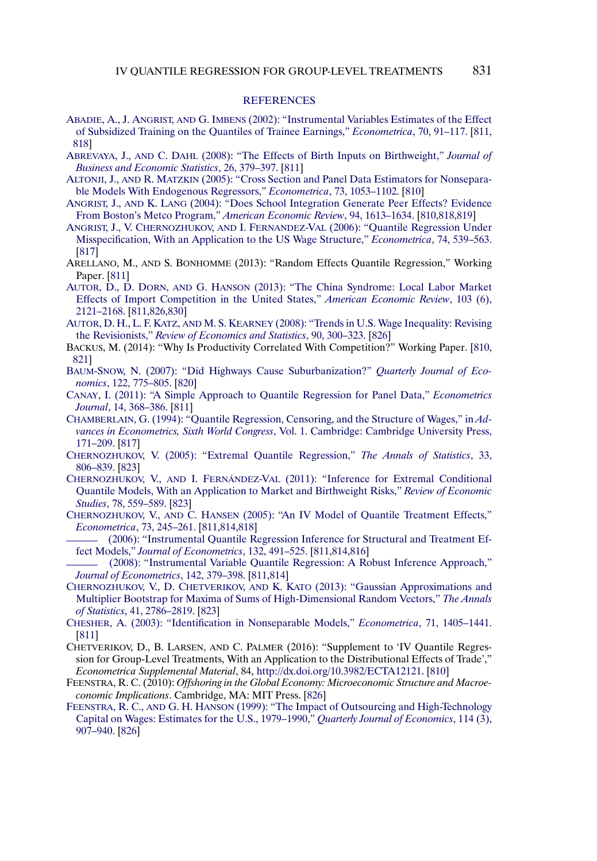#### **[REFERENCES](http://www.e-publications.org/srv/ecta/linkserver/setprefs?rfe_id=urn:sici%2F0012-9682%28201603%2984%3A2%3C809%3AIQRFGT%3E2.0.CO%3B2-M)**

- <span id="page-23-0"></span>ABADIE, A., J. ANGRIST, AND G. IMBENS [\(2002\): "Instrumental Variables Estimates of the Effect](http://www.e-publications.org/srv/ecta/linkserver/openurl?rft_dat=bib:1/abadie2002instrumental&rfe_id=urn:sici%2F0012-9682%28201603%2984%3A2%3C809%3AIQRFGT%3E2.0.CO%3B2-M) [of Subsidized Training on the Quantiles of Trainee Earnings,"](http://www.e-publications.org/srv/ecta/linkserver/openurl?rft_dat=bib:1/abadie2002instrumental&rfe_id=urn:sici%2F0012-9682%28201603%2984%3A2%3C809%3AIQRFGT%3E2.0.CO%3B2-M) *Econometrica*, 70, 91–117. [\[811,](#page-2-0) [818\]](#page-9-0)
- ABREVAYA, J., AND C. DAHL [\(2008\): "The Effects of Birth Inputs on Birthweight,"](http://www.e-publications.org/srv/ecta/linkserver/openurl?rft_dat=bib:2/abrevaya2008effects&rfe_id=urn:sici%2F0012-9682%28201603%2984%3A2%3C809%3AIQRFGT%3E2.0.CO%3B2-M) *Journal of [Business and Economic Statistics](http://www.e-publications.org/srv/ecta/linkserver/openurl?rft_dat=bib:2/abrevaya2008effects&rfe_id=urn:sici%2F0012-9682%28201603%2984%3A2%3C809%3AIQRFGT%3E2.0.CO%3B2-M)*, 26, 379–397. [\[811\]](#page-2-0)
- ALTONJI, J., AND R. MATZKIN [\(2005\): "Cross Section and Panel Data Estimators for Nonsepara](http://www.e-publications.org/srv/ecta/linkserver/openurl?rft_dat=bib:3/AM05&rfe_id=urn:sici%2F0012-9682%28201603%2984%3A2%3C809%3AIQRFGT%3E2.0.CO%3B2-M)[ble Models With Endogenous Regressors,"](http://www.e-publications.org/srv/ecta/linkserver/openurl?rft_dat=bib:3/AM05&rfe_id=urn:sici%2F0012-9682%28201603%2984%3A2%3C809%3AIQRFGT%3E2.0.CO%3B2-M) *Econometrica*, 73, 1053–1102. [\[810\]](#page-1-0)
- ANGRIST, J., AND K. LANG [\(2004\): "Does School Integration Generate Peer Effects? Evidence](http://www.e-publications.org/srv/ecta/linkserver/openurl?rft_dat=bib:4/angrist2004does&rfe_id=urn:sici%2F0012-9682%28201603%2984%3A2%3C809%3AIQRFGT%3E2.0.CO%3B2-M) [From Boston's Metco Program,"](http://www.e-publications.org/srv/ecta/linkserver/openurl?rft_dat=bib:4/angrist2004does&rfe_id=urn:sici%2F0012-9682%28201603%2984%3A2%3C809%3AIQRFGT%3E2.0.CO%3B2-M) *American Economic Review*, 94, 1613–1634. [\[810](#page-1-0)[,818](#page-9-0)[,819\]](#page-10-0)
- ANGRIST, J., V. CHERNOZHUKOV, AND I. FERNANDEZ-VAL [\(2006\): "Quantile Regression Under](http://www.e-publications.org/srv/ecta/linkserver/openurl?rft_dat=bib:5/angrist20006&rfe_id=urn:sici%2F0012-9682%28201603%2984%3A2%3C809%3AIQRFGT%3E2.0.CO%3B2-M) [Misspecification, With an Application to the US Wage Structure,"](http://www.e-publications.org/srv/ecta/linkserver/openurl?rft_dat=bib:5/angrist20006&rfe_id=urn:sici%2F0012-9682%28201603%2984%3A2%3C809%3AIQRFGT%3E2.0.CO%3B2-M) *Econometrica*, 74, 539–563. [\[817\]](#page-8-0)
- ARELLANO, M., AND S. BONHOMME (2013): "Random Effects Quantile Regression," Working Paper. [\[811\]](#page-2-0)
- AUTOR, D., D. DORN, AND G. HANSON [\(2013\): "The China Syndrome: Local Labor Market](http://www.e-publications.org/srv/ecta/linkserver/openurl?rft_dat=bib:7/autordornhanson2013&rfe_id=urn:sici%2F0012-9682%28201603%2984%3A2%3C809%3AIQRFGT%3E2.0.CO%3B2-M) [Effects of Import Competition in the United States,"](http://www.e-publications.org/srv/ecta/linkserver/openurl?rft_dat=bib:7/autordornhanson2013&rfe_id=urn:sici%2F0012-9682%28201603%2984%3A2%3C809%3AIQRFGT%3E2.0.CO%3B2-M) *American Economic Review*, 103 (6), [2121–2168.](http://www.e-publications.org/srv/ecta/linkserver/openurl?rft_dat=bib:7/autordornhanson2013&rfe_id=urn:sici%2F0012-9682%28201603%2984%3A2%3C809%3AIQRFGT%3E2.0.CO%3B2-M) [\[811,](#page-2-0)[826,](#page-17-0)[830\]](#page-21-0)
- AUTOR, D. H., L. F. KATZ, AND M. S. KEARNEY [\(2008\): "Trends in U.S. Wage Inequality: Revising](http://www.e-publications.org/srv/ecta/linkserver/openurl?rft_dat=bib:8/autor2008&rfe_id=urn:sici%2F0012-9682%28201603%2984%3A2%3C809%3AIQRFGT%3E2.0.CO%3B2-M) the Revisionists," *[Review of Economics and Statistics](http://www.e-publications.org/srv/ecta/linkserver/openurl?rft_dat=bib:8/autor2008&rfe_id=urn:sici%2F0012-9682%28201603%2984%3A2%3C809%3AIQRFGT%3E2.0.CO%3B2-M)*, 90, 300–323. [\[826\]](#page-17-0)
- BACKUS, M. (2014): "Why Is Productivity Correlated With Competition?" Working Paper. [\[810,](#page-1-0) [821\]](#page-12-0)
- [BAUM-SNOW, N. \(2007\): "Did Highways Cause Suburbanization?"](http://www.e-publications.org/srv/ecta/linkserver/openurl?rft_dat=bib:10/baum2007did&rfe_id=urn:sici%2F0012-9682%28201603%2984%3A2%3C809%3AIQRFGT%3E2.0.CO%3B2-M) *Quarterly Journal of Economics*[, 122, 775–805.](http://www.e-publications.org/srv/ecta/linkserver/openurl?rft_dat=bib:10/baum2007did&rfe_id=urn:sici%2F0012-9682%28201603%2984%3A2%3C809%3AIQRFGT%3E2.0.CO%3B2-M) [\[820\]](#page-11-0)
- [CANAY, I. \(2011\): "A Simple Approach to Quantile Regression for Panel Data,"](http://www.e-publications.org/srv/ecta/linkserver/openurl?rft_dat=bib:11/Canay11&rfe_id=urn:sici%2F0012-9682%28201603%2984%3A2%3C809%3AIQRFGT%3E2.0.CO%3B2-M) *Econometrics Journal*[, 14, 368–386.](http://www.e-publications.org/srv/ecta/linkserver/openurl?rft_dat=bib:11/Canay11&rfe_id=urn:sici%2F0012-9682%28201603%2984%3A2%3C809%3AIQRFGT%3E2.0.CO%3B2-M) [\[811\]](#page-2-0)
- [CHAMBERLAIN, G. \(1994\): "Quantile Regression, Censoring, and the Structure of Wages," in](http://www.e-publications.org/srv/ecta/linkserver/openurl?rft_dat=bib:12/chamberlain1994quantile&rfe_id=urn:sici%2F0012-9682%28201603%2984%3A2%3C809%3AIQRFGT%3E2.0.CO%3B2-M) *Advances in Econometrics, Sixth World Congress*[, Vol. 1. Cambridge: Cambridge University Press,](http://www.e-publications.org/srv/ecta/linkserver/openurl?rft_dat=bib:12/chamberlain1994quantile&rfe_id=urn:sici%2F0012-9682%28201603%2984%3A2%3C809%3AIQRFGT%3E2.0.CO%3B2-M) [171–209.](http://www.e-publications.org/srv/ecta/linkserver/openurl?rft_dat=bib:12/chamberlain1994quantile&rfe_id=urn:sici%2F0012-9682%28201603%2984%3A2%3C809%3AIQRFGT%3E2.0.CO%3B2-M) [\[817\]](#page-8-0)
- [CHERNOZHUKOV, V. \(2005\): "Extremal Quantile Regression,"](http://www.e-publications.org/srv/ecta/linkserver/openurl?rft_dat=bib:13/chernozhukov2005&rfe_id=urn:sici%2F0012-9682%28201603%2984%3A2%3C809%3AIQRFGT%3E2.0.CO%3B2-M) *The Annals of Statistics*, 33, [806–839.](http://www.e-publications.org/srv/ecta/linkserver/openurl?rft_dat=bib:13/chernozhukov2005&rfe_id=urn:sici%2F0012-9682%28201603%2984%3A2%3C809%3AIQRFGT%3E2.0.CO%3B2-M) [\[823\]](#page-14-0)
- CHERNOZHUKOV, V., AND I. FERNÁNDEZ-VAL [\(2011\): "Inference for Extremal Conditional](http://www.e-publications.org/srv/ecta/linkserver/openurl?rft_dat=bib:14/CF11&rfe_id=urn:sici%2F0012-9682%28201603%2984%3A2%3C809%3AIQRFGT%3E2.0.CO%3B2-M) [Quantile Models, With an Application to Market and Birthweight Risks,"](http://www.e-publications.org/srv/ecta/linkserver/openurl?rft_dat=bib:14/CF11&rfe_id=urn:sici%2F0012-9682%28201603%2984%3A2%3C809%3AIQRFGT%3E2.0.CO%3B2-M) *Review of Economic Studies*[, 78, 559–589.](http://www.e-publications.org/srv/ecta/linkserver/openurl?rft_dat=bib:14/CF11&rfe_id=urn:sici%2F0012-9682%28201603%2984%3A2%3C809%3AIQRFGT%3E2.0.CO%3B2-M) [\[823\]](#page-14-0)
- CHERNOZHUKOV, V., AND C. HANSEN [\(2005\): "An IV Model of Quantile Treatment Effects,"](http://www.e-publications.org/srv/ecta/linkserver/openurl?rft_dat=bib:15/chernozhukov2005iv&rfe_id=urn:sici%2F0012-9682%28201603%2984%3A2%3C809%3AIQRFGT%3E2.0.CO%3B2-M) *[Econometrica](http://www.e-publications.org/srv/ecta/linkserver/openurl?rft_dat=bib:15/chernozhukov2005iv&rfe_id=urn:sici%2F0012-9682%28201603%2984%3A2%3C809%3AIQRFGT%3E2.0.CO%3B2-M)*, 73, 245–261. [\[811](#page-2-0)[,814](#page-5-0)[,818\]](#page-9-0)
- [\(2006\): "Instrumental Quantile Regression Inference for Structural and Treatment Ef](http://www.e-publications.org/srv/ecta/linkserver/openurl?rft_dat=bib:16/chernozhukov2006instrumental&rfe_id=urn:sici%2F0012-9682%28201603%2984%3A2%3C809%3AIQRFGT%3E2.0.CO%3B2-M)fect Models," *[Journal of Econometrics](http://www.e-publications.org/srv/ecta/linkserver/openurl?rft_dat=bib:16/chernozhukov2006instrumental&rfe_id=urn:sici%2F0012-9682%28201603%2984%3A2%3C809%3AIQRFGT%3E2.0.CO%3B2-M)*, 132, 491–525. [\[811](#page-2-0)[,814](#page-5-0)[,816\]](#page-7-0)
- [\(2008\): "Instrumental Variable Quantile Regression: A Robust Inference Approach,"](http://www.e-publications.org/srv/ecta/linkserver/openurl?rft_dat=bib:17/chernozhukov2008instrumental&rfe_id=urn:sici%2F0012-9682%28201603%2984%3A2%3C809%3AIQRFGT%3E2.0.CO%3B2-M) *[Journal of Econometrics](http://www.e-publications.org/srv/ecta/linkserver/openurl?rft_dat=bib:17/chernozhukov2008instrumental&rfe_id=urn:sici%2F0012-9682%28201603%2984%3A2%3C809%3AIQRFGT%3E2.0.CO%3B2-M)*, 142, 379–398. [\[811,](#page-2-0)[814\]](#page-5-0)
- [CHERNOZHUKOV, V., D. CHETVERIKOV,](http://www.e-publications.org/srv/ecta/linkserver/openurl?rft_dat=bib:18/CCK2&rfe_id=urn:sici%2F0012-9682%28201603%2984%3A2%3C809%3AIQRFGT%3E2.0.CO%3B2-M) AND K. KATO (2013): "Gaussian Approximations and [Multiplier Bootstrap for Maxima of Sums of High-Dimensional Random Vectors,"](http://www.e-publications.org/srv/ecta/linkserver/openurl?rft_dat=bib:18/CCK2&rfe_id=urn:sici%2F0012-9682%28201603%2984%3A2%3C809%3AIQRFGT%3E2.0.CO%3B2-M) *The Annals of Statistics*[, 41, 2786–2819.](http://www.e-publications.org/srv/ecta/linkserver/openurl?rft_dat=bib:18/CCK2&rfe_id=urn:sici%2F0012-9682%28201603%2984%3A2%3C809%3AIQRFGT%3E2.0.CO%3B2-M) [\[823\]](#page-14-0)
- [CHESHER, A. \(2003\): "Identification in Nonseparable Models,"](http://www.e-publications.org/srv/ecta/linkserver/openurl?rft_dat=bib:19/chesher2003identification&rfe_id=urn:sici%2F0012-9682%28201603%2984%3A2%3C809%3AIQRFGT%3E2.0.CO%3B2-M) *Econometrica*, 71, 1405–1441. [\[811\]](#page-2-0)
- CHETVERIKOV, D., B. LARSEN, AND C. PALMER (2016): "Supplement to 'IV Quantile Regression for Group-Level Treatments, With an Application to the Distributional Effects of Trade'," *Econometrica Supplemental Material*, 84, <http://dx.doi.org/10.3982/ECTA12121>. [\[810\]](#page-1-0)
- FEENSTRA, R. C. (2010): *Offshoring in the Global Economy: Microeconomic Structure and Macroeconomic Implications*. Cambridge, MA: MIT Press. [\[826\]](#page-17-0)
- FEENSTRA, R. C., AND G. H. HANSON [\(1999\): "The Impact of Outsourcing and High-Technology](http://www.e-publications.org/srv/ecta/linkserver/openurl?rft_dat=bib:22/feenstra1999&rfe_id=urn:sici%2F0012-9682%28201603%2984%3A2%3C809%3AIQRFGT%3E2.0.CO%3B2-M) [Capital on Wages: Estimates for the U.S., 1979–1990,"](http://www.e-publications.org/srv/ecta/linkserver/openurl?rft_dat=bib:22/feenstra1999&rfe_id=urn:sici%2F0012-9682%28201603%2984%3A2%3C809%3AIQRFGT%3E2.0.CO%3B2-M) *Quarterly Journal of Economics*, 114 (3), [907–940.](http://www.e-publications.org/srv/ecta/linkserver/openurl?rft_dat=bib:22/feenstra1999&rfe_id=urn:sici%2F0012-9682%28201603%2984%3A2%3C809%3AIQRFGT%3E2.0.CO%3B2-M) [\[826\]](#page-17-0)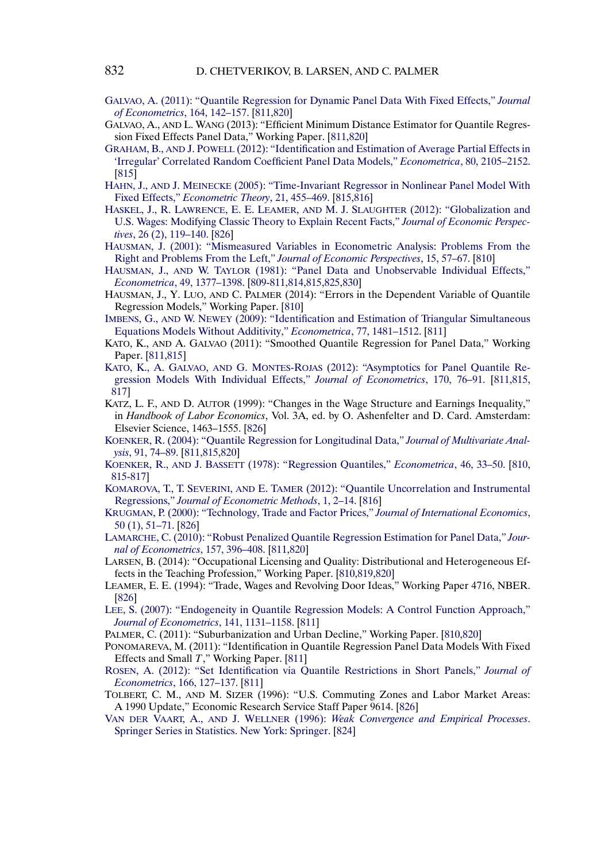- <span id="page-24-0"></span>[GALVAO, A. \(2011\): "Quantile Regression for Dynamic Panel Data With Fixed Effects,"](http://www.e-publications.org/srv/ecta/linkserver/openurl?rft_dat=bib:23/galvao2011quantile&rfe_id=urn:sici%2F0012-9682%28201603%2984%3A2%3C809%3AIQRFGT%3E2.0.CO%3B2-M) *Journal [of Econometrics](http://www.e-publications.org/srv/ecta/linkserver/openurl?rft_dat=bib:23/galvao2011quantile&rfe_id=urn:sici%2F0012-9682%28201603%2984%3A2%3C809%3AIQRFGT%3E2.0.CO%3B2-M)*, 164, 142–157. [\[811,](#page-2-0)[820\]](#page-11-0)
- GALVAO, A., AND L. WANG (2013): "Efficient Minimum Distance Estimator for Quantile Regression Fixed Effects Panel Data," Working Paper. [\[811](#page-2-0)[,820\]](#page-11-0)
- GRAHAM, B., AND J. POWELL [\(2012\): "Identification and Estimation of Average Partial Effects in](http://www.e-publications.org/srv/ecta/linkserver/openurl?rft_dat=bib:25/GP12&rfe_id=urn:sici%2F0012-9682%28201603%2984%3A2%3C809%3AIQRFGT%3E2.0.CO%3B2-M) ['Irregular' Correlated Random Coefficient Panel Data Models,"](http://www.e-publications.org/srv/ecta/linkserver/openurl?rft_dat=bib:25/GP12&rfe_id=urn:sici%2F0012-9682%28201603%2984%3A2%3C809%3AIQRFGT%3E2.0.CO%3B2-M) *Econometrica*, 80, 2105–2152. [\[815\]](#page-6-0)
- HAHN, J., AND J. MEINECKE [\(2005\): "Time-Invariant Regressor in Nonlinear Panel Model With](http://www.e-publications.org/srv/ecta/linkserver/openurl?rft_dat=bib:26/HahnMeinecke05&rfe_id=urn:sici%2F0012-9682%28201603%2984%3A2%3C809%3AIQRFGT%3E2.0.CO%3B2-M) Fixed Effects," *[Econometric Theory](http://www.e-publications.org/srv/ecta/linkserver/openurl?rft_dat=bib:26/HahnMeinecke05&rfe_id=urn:sici%2F0012-9682%28201603%2984%3A2%3C809%3AIQRFGT%3E2.0.CO%3B2-M)*, 21, 455–469. [\[815](#page-6-0)[,816\]](#page-7-0)
- [HASKEL, J., R. LAWRENCE, E. E. LEAMER,](http://www.e-publications.org/srv/ecta/linkserver/openurl?rft_dat=bib:27/haskel2012&rfe_id=urn:sici%2F0012-9682%28201603%2984%3A2%3C809%3AIQRFGT%3E2.0.CO%3B2-M) AND M. J. SLAUGHTER (2012): "Globalization and [U.S. Wages: Modifying Classic Theory to Explain Recent Facts,"](http://www.e-publications.org/srv/ecta/linkserver/openurl?rft_dat=bib:27/haskel2012&rfe_id=urn:sici%2F0012-9682%28201603%2984%3A2%3C809%3AIQRFGT%3E2.0.CO%3B2-M) *Journal of Economic Perspectives*[, 26 \(2\), 119–140.](http://www.e-publications.org/srv/ecta/linkserver/openurl?rft_dat=bib:27/haskel2012&rfe_id=urn:sici%2F0012-9682%28201603%2984%3A2%3C809%3AIQRFGT%3E2.0.CO%3B2-M) [\[826\]](#page-17-0)
- [HAUSMAN, J. \(2001\): "Mismeasured Variables in Econometric Analysis: Problems From the](http://www.e-publications.org/srv/ecta/linkserver/openurl?rft_dat=bib:28/hausman2001mismeasured&rfe_id=urn:sici%2F0012-9682%28201603%2984%3A2%3C809%3AIQRFGT%3E2.0.CO%3B2-M) [Right and Problems From the Left,"](http://www.e-publications.org/srv/ecta/linkserver/openurl?rft_dat=bib:28/hausman2001mismeasured&rfe_id=urn:sici%2F0012-9682%28201603%2984%3A2%3C809%3AIQRFGT%3E2.0.CO%3B2-M) *Journal of Economic Perspectives*, 15, 57–67. [\[810\]](#page-1-0)
- HAUSMAN, J., AND W. TAYLOR [\(1981\): "Panel Data and Unobservable Individual Effects,"](http://www.e-publications.org/srv/ecta/linkserver/openurl?rft_dat=bib:29/HausmanTaylor&rfe_id=urn:sici%2F0012-9682%28201603%2984%3A2%3C809%3AIQRFGT%3E2.0.CO%3B2-M) *Econometrica*[, 49, 1377–1398.](http://www.e-publications.org/srv/ecta/linkserver/openurl?rft_dat=bib:29/HausmanTaylor&rfe_id=urn:sici%2F0012-9682%28201603%2984%3A2%3C809%3AIQRFGT%3E2.0.CO%3B2-M) [\[809-](#page-0-0)[811](#page-2-0)[,814](#page-5-0)[,815](#page-6-0)[,825,](#page-16-0)[830\]](#page-21-0)
- HAUSMAN, J., Y. LUO, AND C. PALMER (2014): "Errors in the Dependent Variable of Quantile Regression Models," Working Paper. [\[810\]](#page-1-0)
- IMBENS, G., AND W. NEWEY [\(2009\): "Identification and Estimation of Triangular Simultaneous](http://www.e-publications.org/srv/ecta/linkserver/openurl?rft_dat=bib:31/imbens2009identification&rfe_id=urn:sici%2F0012-9682%28201603%2984%3A2%3C809%3AIQRFGT%3E2.0.CO%3B2-M) [Equations Models Without Additivity,"](http://www.e-publications.org/srv/ecta/linkserver/openurl?rft_dat=bib:31/imbens2009identification&rfe_id=urn:sici%2F0012-9682%28201603%2984%3A2%3C809%3AIQRFGT%3E2.0.CO%3B2-M) *Econometrica*, 77, 1481–1512. [\[811\]](#page-2-0)
- KATO, K., AND A. GALVAO (2011): "Smoothed Quantile Regression for Panel Data," Working Paper. [\[811](#page-2-0)[,815\]](#page-6-0)
- KATO, K., A. GALVAO, AND G. MONTES-ROJAS [\(2012\): "Asymptotics for Panel Quantile Re](http://www.e-publications.org/srv/ecta/linkserver/openurl?rft_dat=bib:33/galvaokatomotnes2011&rfe_id=urn:sici%2F0012-9682%28201603%2984%3A2%3C809%3AIQRFGT%3E2.0.CO%3B2-M)[gression Models With Individual Effects,"](http://www.e-publications.org/srv/ecta/linkserver/openurl?rft_dat=bib:33/galvaokatomotnes2011&rfe_id=urn:sici%2F0012-9682%28201603%2984%3A2%3C809%3AIQRFGT%3E2.0.CO%3B2-M) *Journal of Econometrics*, 170, 76–91. [\[811](#page-2-0)[,815,](#page-6-0) [817\]](#page-8-0)
- KATZ, L. F., AND D. AUTOR (1999): "Changes in the Wage Structure and Earnings Inequality," in *Handbook of Labor Economics*, Vol. 3A, ed. by O. Ashenfelter and D. Card. Amsterdam: Elsevier Science, 1463–1555. [\[826\]](#page-17-0)
- [KOENKER, R. \(2004\): "Quantile Regression for Longitudinal Data,"](http://www.e-publications.org/srv/ecta/linkserver/openurl?rft_dat=bib:35/koenker2004quantile&rfe_id=urn:sici%2F0012-9682%28201603%2984%3A2%3C809%3AIQRFGT%3E2.0.CO%3B2-M) *Journal of Multivariate Analysis*[, 91, 74–89.](http://www.e-publications.org/srv/ecta/linkserver/openurl?rft_dat=bib:35/koenker2004quantile&rfe_id=urn:sici%2F0012-9682%28201603%2984%3A2%3C809%3AIQRFGT%3E2.0.CO%3B2-M) [\[811](#page-2-0)[,815,](#page-6-0)[820\]](#page-11-0)
- KOENKER, R., AND J. BASSETT [\(1978\): "Regression Quantiles,"](http://www.e-publications.org/srv/ecta/linkserver/openurl?rft_dat=bib:36/koenker1978regression&rfe_id=urn:sici%2F0012-9682%28201603%2984%3A2%3C809%3AIQRFGT%3E2.0.CO%3B2-M) *Econometrica*, 46, 33–50. [\[810,](#page-1-0) [815](#page-6-0)[-817\]](#page-8-0)
- KOMAROVA, T., T. SEVERINI, AND E. TAMER [\(2012\): "Quantile Uncorrelation and Instrumental](http://www.e-publications.org/srv/ecta/linkserver/openurl?rft_dat=bib:37/KST12&rfe_id=urn:sici%2F0012-9682%28201603%2984%3A2%3C809%3AIQRFGT%3E2.0.CO%3B2-M) Regressions," *[Journal of Econometric Methods](http://www.e-publications.org/srv/ecta/linkserver/openurl?rft_dat=bib:37/KST12&rfe_id=urn:sici%2F0012-9682%28201603%2984%3A2%3C809%3AIQRFGT%3E2.0.CO%3B2-M)*, 1, 2–14. [\[816\]](#page-7-0)
- [KRUGMAN, P. \(2000\): "Technology, Trade and Factor Prices,"](http://www.e-publications.org/srv/ecta/linkserver/openurl?rft_dat=bib:38/krugman2000&rfe_id=urn:sici%2F0012-9682%28201603%2984%3A2%3C809%3AIQRFGT%3E2.0.CO%3B2-M) *Journal of International Economics*, [50 \(1\), 51–71.](http://www.e-publications.org/srv/ecta/linkserver/openurl?rft_dat=bib:38/krugman2000&rfe_id=urn:sici%2F0012-9682%28201603%2984%3A2%3C809%3AIQRFGT%3E2.0.CO%3B2-M) [\[826\]](#page-17-0)
- [LAMARCHE, C. \(2010\): "Robust Penalized Quantile Regression Estimation for Panel Data,"](http://www.e-publications.org/srv/ecta/linkserver/openurl?rft_dat=bib:39/lamarche2010robust&rfe_id=urn:sici%2F0012-9682%28201603%2984%3A2%3C809%3AIQRFGT%3E2.0.CO%3B2-M) *Jour[nal of Econometrics](http://www.e-publications.org/srv/ecta/linkserver/openurl?rft_dat=bib:39/lamarche2010robust&rfe_id=urn:sici%2F0012-9682%28201603%2984%3A2%3C809%3AIQRFGT%3E2.0.CO%3B2-M)*, 157, 396–408. [\[811,](#page-2-0)[820\]](#page-11-0)
- LARSEN, B. (2014): "Occupational Licensing and Quality: Distributional and Heterogeneous Effects in the Teaching Profession," Working Paper. [\[810](#page-1-0)[,819,](#page-10-0)[820\]](#page-11-0)
- LEAMER, E. E. (1994): "Trade, Wages and Revolving Door Ideas," Working Paper 4716, NBER. [\[826\]](#page-17-0)
- [LEE, S. \(2007\): "Endogeneity in Quantile Regression Models: A Control Function Approach,"](http://www.e-publications.org/srv/ecta/linkserver/openurl?rft_dat=bib:42/lee2007endogeneity&rfe_id=urn:sici%2F0012-9682%28201603%2984%3A2%3C809%3AIQRFGT%3E2.0.CO%3B2-M) *[Journal of Econometrics](http://www.e-publications.org/srv/ecta/linkserver/openurl?rft_dat=bib:42/lee2007endogeneity&rfe_id=urn:sici%2F0012-9682%28201603%2984%3A2%3C809%3AIQRFGT%3E2.0.CO%3B2-M)*, 141, 1131–1158. [\[811\]](#page-2-0)
- PALMER, C. (2011): "Suburbanization and Urban Decline," Working Paper. [\[810,](#page-1-0)[820\]](#page-11-0)
- PONOMAREVA, M. (2011): "Identification in Quantile Regression Panel Data Models With Fixed Effects and Small  $T$ ," Working Paper. [\[811\]](#page-2-0)
- [ROSEN, A. \(2012\): "Set Identification via Quantile Restrictions in Short Panels,"](http://www.e-publications.org/srv/ecta/linkserver/openurl?rft_dat=bib:45/R12&rfe_id=urn:sici%2F0012-9682%28201603%2984%3A2%3C809%3AIQRFGT%3E2.0.CO%3B2-M) *Journal of Econometrics*[, 166, 127–137.](http://www.e-publications.org/srv/ecta/linkserver/openurl?rft_dat=bib:45/R12&rfe_id=urn:sici%2F0012-9682%28201603%2984%3A2%3C809%3AIQRFGT%3E2.0.CO%3B2-M) [\[811\]](#page-2-0)
- TOLBERT, C. M., AND M. SIZER (1996): "U.S. Commuting Zones and Labor Market Areas: A 1990 Update," Economic Research Service Staff Paper 9614. [\[826\]](#page-17-0)
- VAN DER VAART, A., AND J. WELLNER (1996): *[Weak Convergence and Empirical Processes](http://www.e-publications.org/srv/ecta/linkserver/openurl?rft_dat=bib:47/VW96processes&rfe_id=urn:sici%2F0012-9682%28201603%2984%3A2%3C809%3AIQRFGT%3E2.0.CO%3B2-M)*. [Springer Series in Statistics. New York: Springer.](http://www.e-publications.org/srv/ecta/linkserver/openurl?rft_dat=bib:47/VW96processes&rfe_id=urn:sici%2F0012-9682%28201603%2984%3A2%3C809%3AIQRFGT%3E2.0.CO%3B2-M) [\[824\]](#page-15-0)